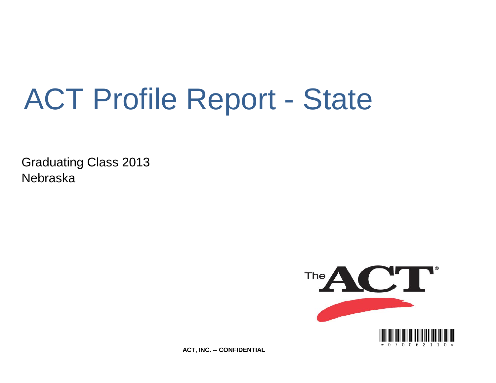# ACT Profile Report - State

Graduating Class 2013 Nebraska



**ACT, INC. -- CONFIDENTIAL**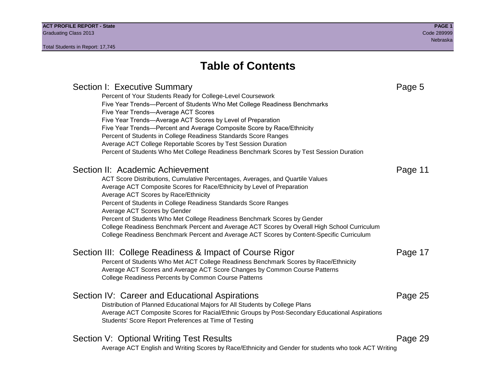# **Table of Contents**

Section I: Executive Summary **Page 5** and the section I: Executive Summary Percent of Your Students Ready for College-Level Coursework Five Year Trends—Percent of Students Who Met College Readiness Benchmarks Five Year Trends—Average ACT Scores Five Year Trends—Average ACT Scores by Level of Preparation Five Year Trends—Percent and Average Composite Score by Race/Ethnicity Percent of Students in College Readiness Standards Score Ranges Average ACT College Reportable Scores by Test Session Duration Percent of Students Who Met College Readiness Benchmark Scores by Test Session Duration Section II: Academic Achievement **Page 11** Page 11 ACT Score Distributions, Cumulative Percentages, Averages, and Quartile Values Average ACT Composite Scores for Race/Ethnicity by Level of Preparation Average ACT Scores by Race/Ethnicity Percent of Students in College Readiness Standards Score Ranges Average ACT Scores by Gender Percent of Students Who Met College Readiness Benchmark Scores by Gender College Readiness Benchmark Percent and Average ACT Scores by Overall High School Curriculum College Readiness Benchmark Percent and Average ACT Scores by Content-Specific Curriculum Section III: College Readiness & Impact of Course Rigor Page 17 Percent of Students Who Met ACT College Readiness Benchmark Scores by Race/Ethnicity Average ACT Scores and Average ACT Score Changes by Common Course Patterns College Readiness Percents by Common Course Patterns Section IV: Career and Educational Aspirations **Page 25** Page 25 Distribution of Planned Educational Majors for All Students by College Plans Average ACT Composite Scores for Racial/Ethnic Groups by Post-Secondary Educational Aspirations Students' Score Report Preferences at Time of Testing Section V: Optional Writing Test Results **Page 29** Page 29 Average ACT English and Writing Scores by Race/Ethnicity and Gender for students who took ACT Writing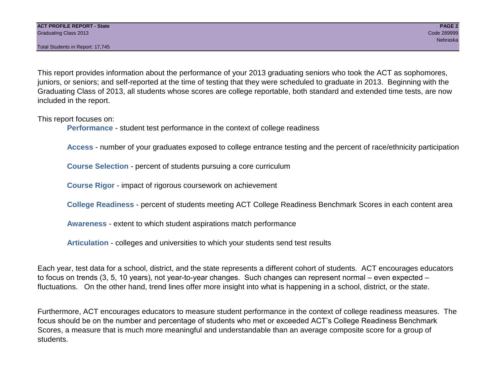Total Students in Report: 17,745

This report provides information about the performance of your 2013 graduating seniors who took the ACT as sophomores, juniors, or seniors; and self-reported at the time of testing that they were scheduled to graduate in 2013. Beginning with the Graduating Class of 2013, all students whose scores are college reportable, both standard and extended time tests, are now included in the report.

This report focuses on:

**Performance** - student test performance in the context of college readiness

**Access** - number of your graduates exposed to college entrance testing and the percent of race/ethnicity participation

**Course Selection** - percent of students pursuing a core curriculum

**Course Rigor** - impact of rigorous coursework on achievement

**College Readiness** - percent of students meeting ACT College Readiness Benchmark Scores in each content area

**Awareness** - extent to which student aspirations match performance

**Articulation** - colleges and universities to which your students send test results

Each year, test data for a school, district, and the state represents a different cohort of students. ACT encourages educators to focus on trends (3, 5, 10 years), not year-to-year changes. Such changes can represent normal – even expected – fluctuations. On the other hand, trend lines offer more insight into what is happening in a school, district, or the state.

Furthermore, ACT encourages educators to measure student performance in the context of college readiness measures. The focus should be on the number and percentage of students who met or exceeded ACT's College Readiness Benchmark Scores, a measure that is much more meaningful and understandable than an average composite score for a group of students.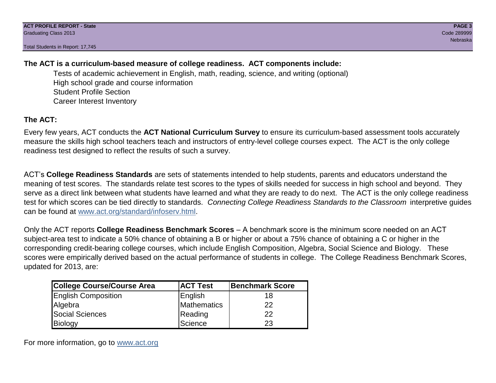Total Students in Report: 17,745

# **The ACT is a curriculum-based measure of college readiness. ACT components include:**

Tests of academic achievement in English, math, reading, science, and writing (optional) High school grade and course information Student Profile Section Career Interest Inventory

# **The ACT:**

Every few years, ACT conducts the **ACT National Curriculum Survey** to ensure its curriculum-based assessment tools accurately measure the skills high school teachers teach and instructors of entry-level college courses expect. The ACT is the only college readiness test designed to reflect the results of such a survey.

ACT's **College Readiness Standards** are sets of statements intended to help students, parents and educators understand the meaning of test scores. The standards relate test scores to the types of skills needed for success in high school and beyond. They serve as a direct link between what students have learned and what they are ready to do next. The ACT is the only college readiness test for which scores can be tied directly to standards. *Connecting College Readiness Standards to the Classroom* interpretive guides can be found at www.act.org/standard/infoserv.html.

Only the ACT reports **College Readiness Benchmark Scores** – A benchmark score is the minimum score needed on an ACT subject-area test to indicate a 50% chance of obtaining a B or higher or about a 75% chance of obtaining a C or higher in the corresponding credit-bearing college courses, which include English Composition, Algebra, Social Science and Biology. These scores were empirically derived based on the actual performance of students in college. The College Readiness Benchmark Scores, updated for 2013, are:

| <b>College Course/Course Area</b> | <b>ACT Test</b> | Benchmark Score |
|-----------------------------------|-----------------|-----------------|
| <b>English Composition</b>        | English         | 18              |
| Algebra                           | Mathematics     | 22              |
| <b>Social Sciences</b>            | Reading         | 22              |
| Biology                           | Science         | 23              |

For more information, go to www.act.org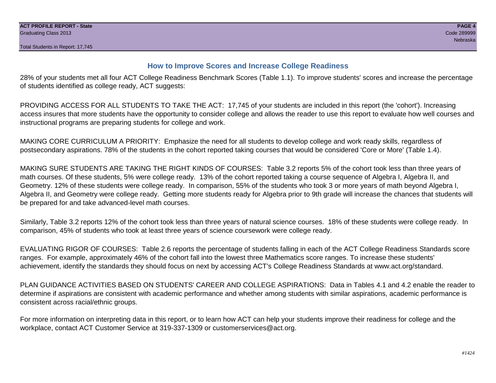# **How to Improve Scores and Increase College Readiness**

28% of your students met all four ACT College Readiness Benchmark Scores (Table 1.1). To improve students' scores and increase the percentage of students identified as college ready, ACT suggests:

PROVIDING ACCESS FOR ALL STUDENTS TO TAKE THE ACT: 17,745 of your students are included in this report (the 'cohort'). Increasing access insures that more students have the opportunity to consider college and allows the reader to use this report to evaluate how well courses and instructional programs are preparing students for college and work.

MAKING CORE CURRICULUM A PRIORITY: Emphasize the need for all students to develop college and work ready skills, regardless of postsecondary aspirations. 78% of the students in the cohort reported taking courses that would be considered 'Core or More' (Table 1.4).

MAKING SURE STUDENTS ARE TAKING THE RIGHT KINDS OF COURSES: Table 3.2 reports 5% of the cohort took less than three years of math courses. Of these students, 5% were college ready. 13% of the cohort reported taking a course sequence of Algebra I, Algebra II, and Geometry. 12% of these students were college ready. In comparison, 55% of the students who took 3 or more years of math beyond Algebra I, Algebra II, and Geometry were college ready. Getting more students ready for Algebra prior to 9th grade will increase the chances that students will be prepared for and take advanced-level math courses.

Similarly, Table 3.2 reports 12% of the cohort took less than three years of natural science courses. 18% of these students were college ready. In comparison, 45% of students who took at least three years of science coursework were college ready.

EVALUATING RIGOR OF COURSES: Table 2.6 reports the percentage of students falling in each of the ACT College Readiness Standards score ranges. For example, approximately 46% of the cohort fall into the lowest three Mathematics score ranges. To increase these students' achievement, identify the standards they should focus on next by accessing ACT's College Readiness Standards at www.act.org/standard.

PLAN GUIDANCE ACTIVITIES BASED ON STUDENTS' CAREER AND COLLEGE ASPIRATIONS: Data in Tables 4.1 and 4.2 enable the reader to determine if aspirations are consistent with academic performance and whether among students with similar aspirations, academic performance is consistent across racial/ethnic groups.

For more information on interpreting data in this report, or to learn how ACT can help your students improve their readiness for college and the workplace, contact ACT Customer Service at 319-337-1309 or customerservices@act.org.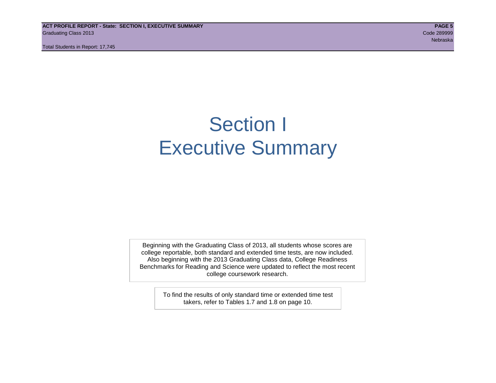**ACT PROFILE REPORT - State: SECTION I, EXECUTIVE SUMMARY PAGE 5** Graduating Class 2013 Code 289999

Total Students in Report: 17,745

nebraska ing pangalang pangalang pangalang pangalang pangalang pangalang pangalang pangalang pangalang pangala

# Section I Executive Summary

Beginning with the Graduating Class of 2013, all students whose scores are college reportable, both standard and extended time tests, are now included. Also beginning with the 2013 Graduating Class data, College Readiness Benchmarks for Reading and Science were updated to reflect the most recent college coursework research.

> To find the results of only standard time or extended time test takers, refer to Tables 1.7 and 1.8 on page 10.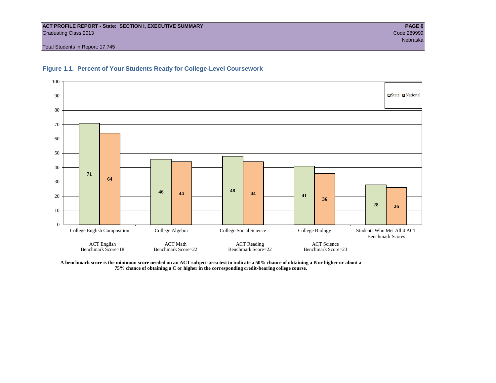#### **ACT PROFILE REPORT - State: SECTION I, EXECUTIVE SUMMARY PAGE 6** Graduating Class 2013 Code 289999

Total Students in Report: 17,745





**A benchmark score is the minimum score needed on an ACT subject-area test to indicate a 50% chance of obtaining a B or higher or about a 75% chance of obtaining a C or higher in the corresponding credit-bearing college course.**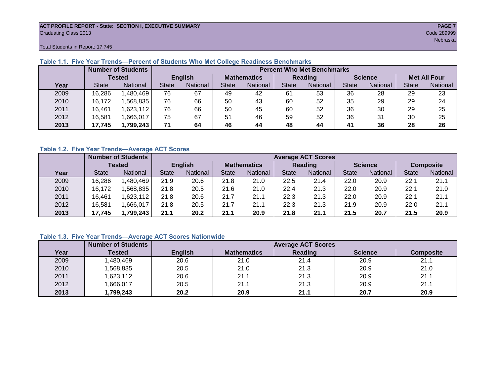#### **ACT PROFILE REPORT - State: SECTION I, EXECUTIVE SUMMARY PAGE 7** Graduating Class 2013 Code 289999

nebraska ing pangalang pangalang pangalang pangalang pangalang pangalang pangalang pangalang pangalang pangala

Total Students in Report: 17,745

|      |              | <b>Number of Students</b> |              | <b>Percent Who Met Benchmarks</b> |                    |          |              |          |                |          |                     |          |  |  |  |
|------|--------------|---------------------------|--------------|-----------------------------------|--------------------|----------|--------------|----------|----------------|----------|---------------------|----------|--|--|--|
|      |              | <b>Tested</b>             |              | <b>English</b>                    | <b>Mathematics</b> |          | Reading      |          | <b>Science</b> |          | <b>Met All Four</b> |          |  |  |  |
| Year | <b>State</b> | <b>National</b>           | <b>State</b> | National<br>State                 |                    | National | <b>State</b> | National |                | National | <b>State</b>        | National |  |  |  |
| 2009 | 16,286       | ,480,469                  | 76           | 67                                | 49                 | 42       | 61           | 53       | 36             | 28       | 29                  | 23       |  |  |  |
| 2010 | 16,172       | .568.835                  | 76           | 66                                | 50                 | 43       | 60           | 52       | 35             | 29       | 29                  | 24       |  |  |  |
| 2011 | 16.461       | .623,112                  | 76           | 66                                | 50                 | 45       | 60           | 52       | 36             | 30       | 29                  | 25       |  |  |  |
| 2012 | 16,581       | .666,017                  | 75           | 67                                | 51                 | 46       | 59           | 52       | 36             | 31       | 30                  | 25       |  |  |  |
| 2013 | 17.745       | 1,799,243                 | 71           | 64                                | 46                 | 44       | 48           | 44       | 41             | 36       | 28                  | 26       |  |  |  |

# **Table 1.1. Five Year Trends—Percent of Students Who Met College Readiness Benchmarks**

### **Table 1.2. Five Year Trends—Average ACT Scores**

|      |              | <b>Number of Students</b> |              |                 | <b>Average ACT Scores</b> |                    |              |                 |                |          |                  |          |  |  |
|------|--------------|---------------------------|--------------|-----------------|---------------------------|--------------------|--------------|-----------------|----------------|----------|------------------|----------|--|--|
|      |              | Tested                    |              | <b>English</b>  |                           | <b>Mathematics</b> |              | <b>Reading</b>  | <b>Science</b> |          | <b>Composite</b> |          |  |  |
| Year | <b>State</b> | National                  | <b>State</b> | <b>National</b> |                           | <b>National</b>    | <b>State</b> | <b>National</b> | <b>State</b>   | National | <b>State</b>     | National |  |  |
| 2009 | 16,286       | .480.469                  | 21.9         | 20.6            | 21.8                      | 21.0               | 22.5         | 21.4            | 22.0           | 20.9     | 22.7             | 21.1     |  |  |
| 2010 | 16,172       | .568.835                  | 21.8         | 20.5            | 21.6                      | 21.0               | 22.4         | 21.3            | 22.0           | 20.9     | 22.1             | 21.0     |  |  |
| 2011 | 16.461       | .623,112                  | 21.8         | 20.6            | 21.7                      | 21.1               | 22.3         | 21.3            | 22.0           | 20.9     | 22.1             | 21.1     |  |  |
| 2012 | 16,581       | .666,017                  | 21.8         | 20.5            | 21.7                      | 21.1               | 22.3         | 21.3            | 21.9           | 20.9     | 22.0             | 21.1     |  |  |
| 2013 | 17,745       | 1,799,243                 | 21.1         | 20.2            | 21.1                      | 20.9               | 21.8         | 21.1            | 21.5           | 20.7     | 21.5             | 20.9     |  |  |

# **Table 1.3. Five Year Trends—Average ACT Scores Nationwide**

|      | <b>Number of Students</b> |                | <b>Average ACT Scores</b> |         |                |                  |  |  |  |  |  |  |
|------|---------------------------|----------------|---------------------------|---------|----------------|------------------|--|--|--|--|--|--|
| Year | Tested                    | <b>English</b> | <b>Mathematics</b>        | Reading | <b>Science</b> | <b>Composite</b> |  |  |  |  |  |  |
| 2009 | ,480,469                  | 20.6           | 21.0                      | 21.4    | 20.9           | 21.1             |  |  |  |  |  |  |
| 2010 | ,568,835                  | 20.5           | 21.0                      | 21.3    | 20.9           | 21.0             |  |  |  |  |  |  |
| 2011 | ,623,112                  | 20.6           | 21.1                      | 21.3    | 20.9           | 21.1             |  |  |  |  |  |  |
| 2012 | ,666,017                  | 20.5           | 21.1                      | 21.3    | 20.9           | 21.1             |  |  |  |  |  |  |
| 2013 | 1,799,243                 | 20.2           | 20.9                      | 21.1    | 20.7           | 20.9             |  |  |  |  |  |  |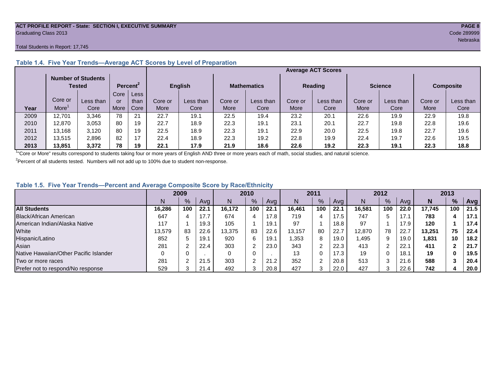#### **ACT PROFILE REPORT - State: SECTION I, EXECUTIVE SUMMARY PAGE 8** Graduating Class 2013 Code 289999

#### Total Students in Report: 17,745

|      |         |                                     |             |                      |                |           |                    |           |                | <b>Average ACT Scores</b> |                |           |                  |           |
|------|---------|-------------------------------------|-------------|----------------------|----------------|-----------|--------------------|-----------|----------------|---------------------------|----------------|-----------|------------------|-----------|
|      |         | <b>Number of Students</b><br>Tested |             | Percent <sup>2</sup> | <b>English</b> |           | <b>Mathematics</b> |           | <b>Reading</b> |                           | <b>Science</b> |           | <b>Composite</b> |           |
|      |         |                                     | Core        | Less                 |                |           |                    |           |                |                           |                |           |                  |           |
|      | Core or | Less than                           | or          | than                 | Core or        | Less than | Core or            | Less than | Core or        | Less than                 | Core or        | Less than | Core or          | Less than |
| Year | More    | Core                                | <b>More</b> | Core                 | More           | Core      | More               | Core      | More           | Core                      | More           | Core      | More             | Core      |
| 2009 | 12.701  | 3.346                               | 78          | 21                   | 22.7           | 19.1      | 22.5               | 19.4      | 23.2           | 20.1                      | 22.6           | 19.9      | 22.9             | 19.8      |
| 2010 | 12,870  | 3,053                               | 80          | 19                   | 22.7           | 18.9      | 22.3               | 19.1      | 23.1           | 20.1                      | 22.7           | 19.8      | 22.8             | 19.6      |
| 2011 | 13,168  | 3,120                               | 80          | 19                   | 22.5           | 18.9      | 22.3               | 19.1      | 22.9           | 20.0                      | 22.5           | 19.8      | 22.7             | 19.6      |
| 2012 | 13,515  | 2,896                               | 82          | 17                   | 22.4           | 18.9      | 22.3               | 19.2      | 22.8           | 19.9                      | 22.4           | 19.7      | 22.6             | 19.5      |
| 2013 | 13.851  | 3,372                               | 78          | 19                   | 22.1           | 17.9      | 21.9               | 18.6      | 22.6           | 19.2                      | 22.3           | 19.1      | 22.3             | 18.8      |

### **Table 1.4. Five Year Trends—Average ACT Scores by Level of Preparation**

<sup>1</sup>"Core or More" results correspond to students taking four or more years of English AND three or more years each of math, social studies, and natural science.

 $2$ Percent of all students tested. Numbers will not add up to 100% due to student non-response.

### **Table 1.5. Five Year Trends—Percent and Average Composite Score by Race/Ethnicity**

|                                        | 2009   |      |      | 2010   |               | 2011 |        |     | 2012 |        |     | 2013 |        |               |      |
|----------------------------------------|--------|------|------|--------|---------------|------|--------|-----|------|--------|-----|------|--------|---------------|------|
|                                        |        | $\%$ | Avg  | N      | $\frac{9}{6}$ | Avg  | N      | %   | Avg  | N      | %   | Ava  | N      | $\frac{9}{6}$ | Avg  |
| <b>All Students</b>                    | 16.286 | 100  | 22.1 | 16.172 | 100           | 22.1 | 16.461 | 100 | 22.1 | 16.581 | 100 | 22.0 | 17.745 | 100           | 21.5 |
| Black/African American                 | 647    |      | 17.7 | 674    | -4            | 17.8 | 719    |     | 17.5 | 747    |     |      | 783    |               | 17.1 |
| American Indian/Alaska Native          | 117    |      | 19.3 | 105    |               | 19.1 | 97     |     | 18.8 | 97     |     | 17.9 | 120    |               | 17.4 |
| White                                  | 13.579 | 83   | 22.6 | 13.375 | 83            | 22.6 | 13,157 | 80  | 22.7 | 12,870 | 78  | 22.7 | 13.251 | 75            | 22.4 |
| Hispanic/Latino                        | 852    |      | 19.1 | 920    | 6             | 19.1 | .353   | 8   | 19.0 | .495   | 9   | 19.0 | 1,831  | 10            | 18.2 |
| Asian                                  | 281    |      | 22.4 | 303    | $\sqrt{2}$    | 23.0 | 343    |     | 22.3 | 413    |     | 22.7 | 411    |               | 21.7 |
| Native Hawaiian/Other Pacific Islander |        |      |      |        | 0             |      | 13     |     | 17.3 | 19     |     | 18.7 | 19     | 0             | 19.5 |
| Two or more races                      | 281    |      | 21.5 | 303    | $\sim$        | 21.2 | 352    |     | 20.8 | 513    | ົ   | 21.6 | 588    |               | 20.4 |
| Prefer not to respond/No response      | 529    |      | 21.4 | 492    | ົ<br>J        | 20.8 | 427    |     | 22.0 | 427    |     | 22.6 | 742    |               | 20.0 |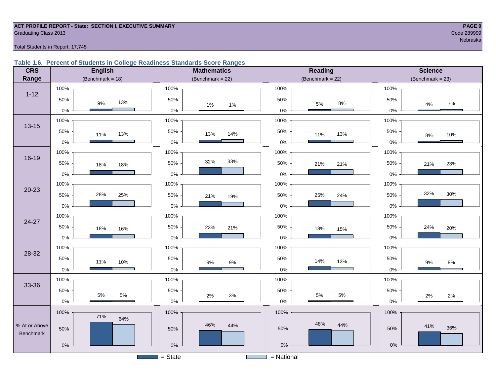#### **ACT PROFILE REPORT - State: SECTION I, EXECUTIVE SUMMARY PAGE 9** Code 289999 Craduating Class 2013

# n de braska en de brasilista en de brasilista en de brasilista en de brasilista en de brasilista en de brasili

Total Students in Report: 17,745

#### **Table 1.6. Percent of Students in College Readiness Standards Score Ranges**

| <b>CRS</b>                 | <b>English</b>       | <b>Mathematics</b>    | <b>Reading</b>      | <b>Science</b>      |
|----------------------------|----------------------|-----------------------|---------------------|---------------------|
| Range                      | (Benchmark = $18$ )  | (Benchmark = $22$ )   | (Benchmark = $22$ ) | $(Benchmark = 23)$  |
|                            | 100%                 | 100%                  | 100%                | 100%                |
| $1 - 12$                   | 50%<br>13%<br>9%     | 50%<br>1%<br>$1\%$    | 50%<br>$8\%$<br>5%  | 50%<br>$7\%$<br>4%  |
|                            | $0\%$                | $0\%$                 | $0\%$               | $0\%$               |
| $13 - 15$                  | 100%                 | 100%                  | 100%                | 100%                |
|                            | 50%<br>13%<br>11%    | 50%<br>13%<br>14%     | 50%<br>13%<br>11%   | 50%<br>10%<br>$8\%$ |
|                            | $0\%$                | $0\%$                 | 0%                  | $0\%$               |
|                            | 100%                 | 100%                  | 100%                | 100%                |
| 16-19                      | 50%<br>18%<br>18%    | 33%<br>32%<br>50%     | 50%<br>21%<br>21%   | 50%<br>23%<br>21%   |
|                            | $0\%$                | $0\%$                 | $0\%$               | 0%                  |
|                            | 100%                 | 100%                  | 100%                | 100%                |
| $20 - 23$                  | 28%<br>50%<br>25%    | 50%<br>21%<br>19%     | 50%<br>25%<br>24%   | 32%<br>30%<br>50%   |
|                            | $0\%$                | $0\%$                 | $0\%$               | 0%                  |
|                            | 100%                 | 100%                  | 100%                | 100%                |
| 24-27                      | 50%<br>18%<br>16%    | 50%<br>23%<br>21%     | 50%<br>18%<br>15%   | 50%<br>24%<br>20%   |
|                            | 0%                   | $0\%$                 | $0\%$               | 0%                  |
|                            | 100%                 | 100%                  | 100%                | 100%                |
| 28-32                      | 50%<br>11%<br>10%    | 50%<br>$9\%$<br>$9\%$ | 50%<br>14%<br>13%   | 50%<br>$9\%$        |
|                            | 0%                   | $0\%$                 | $0\%$               | $8\%$<br>$0\%$      |
|                            | 100%                 | 100%                  | 100%                | 100%                |
| 33-36                      | 50%                  | 50%                   | 50%                 | 50%                 |
|                            | 5%<br>$5\%$<br>$0\%$ | $3%$<br>2%<br>$0\%$   | $5\%$<br>5%<br>0%   | 2%<br>2%<br>$0\%$   |
|                            | 100%                 | 100%                  | 100%                | 100%                |
|                            | 71%<br>64%           |                       | 48%                 |                     |
| % At or Above<br>Benchmark | 50%                  | 46%<br>44%<br>50%     | 44%<br>50%          | 41%<br>36%<br>50%   |
|                            |                      |                       | $0\%$               | $0\%$               |
|                            | $0\%$                | $0\%$                 |                     |                     |
|                            |                      | $=$ State             | $=$ National        |                     |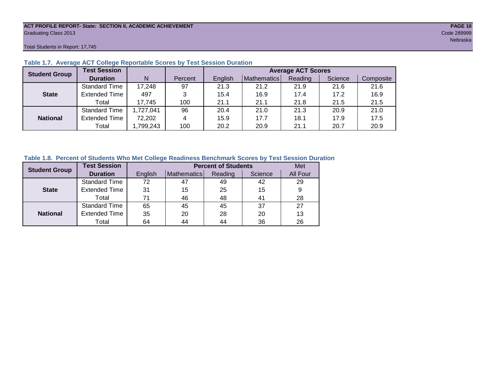#### **ACT PROFILE REPORT- State: SECTION II, ACADEMIC ACHIEVEMENT PAGE 10** Graduating Class 2013 Code 289999

Total Students in Report: 17,745

| <b>Student Group</b> | <b>Test Session</b>  |           |         | <b>Average ACT Scores</b> |             |         |         |           |  |  |  |  |  |
|----------------------|----------------------|-----------|---------|---------------------------|-------------|---------|---------|-----------|--|--|--|--|--|
|                      | <b>Duration</b>      | N         | Percent | English                   | Mathematics | Reading | Science | Composite |  |  |  |  |  |
|                      | <b>Standard Time</b> | 17,248    | 97      | 21.3                      | 21.2        | 21.9    | 21.6    | 21.6      |  |  |  |  |  |
| <b>State</b>         | <b>Extended Time</b> | 497       | 3       | 15.4                      | 16.9        | 17.4    | 17.2    | 16.9      |  |  |  |  |  |
|                      | Total                | 17,745    | 100     | 21.1                      | 21.1        | 21.8    | 21.5    | 21.5      |  |  |  |  |  |
|                      | <b>Standard Time</b> | 1,727,041 | 96      | 20.4                      | 21.0        | 21.3    | 20.9    | 21.0      |  |  |  |  |  |
| <b>National</b>      | <b>Extended Time</b> | 72,202    | 4       | 15.9                      | 17.7        | 18.1    | 17.9    | 17.5      |  |  |  |  |  |
|                      | Total                | ,799,243  | 100     | 20.2                      | 20.9        | 21.1    | 20.7    | 20.9      |  |  |  |  |  |

#### **Table 1.7. Average ACT College Reportable Scores by Test Session Duration**

#### **Table 1.8. Percent of Students Who Met College Readiness Benchmark Scores by Test Session Duration**

| <b>Student Group</b> | <b>Test Session</b>  |         | <b>Percent of Students</b> | Met     |         |          |
|----------------------|----------------------|---------|----------------------------|---------|---------|----------|
|                      | <b>Duration</b>      | English | Mathematics                | Reading | Science | All Four |
|                      | Standard Time        | 72      |                            | 49      | 42      | 29       |
| <b>State</b>         | <b>Extended Time</b> | 31      | 15                         | 25      | 15      | 9        |
|                      | Total                | 71      | 46                         | 48      | 41      | 28       |
|                      | <b>Standard Time</b> | 65      | 45                         | 45      | 37      | 27       |
| <b>National</b>      | <b>Extended Time</b> | 35      | 20                         | 28      | 20      | 13       |
|                      | Total                | 64      | 44                         | 44      | 36      | 26       |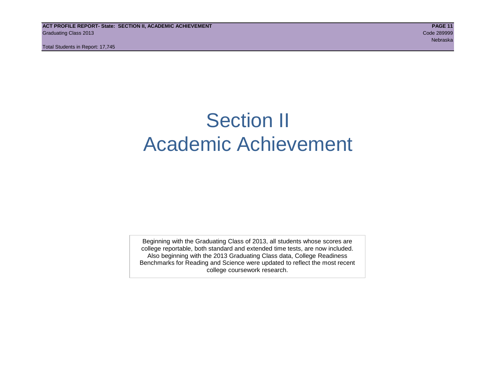**ACT PROFILE REPORT- State: SECTION II, ACADEMIC ACHIEVEMENT PAGE 11** Graduating Class 2013 Code 289999

Total Students in Report: 17,745

# Section II Academic Achievement

Beginning with the Graduating Class of 2013, all students whose scores are college reportable, both standard and extended time tests, are now included. Also beginning with the 2013 Graduating Class data, College Readiness Benchmarks for Reading and Science were updated to reflect the most recent college coursework research.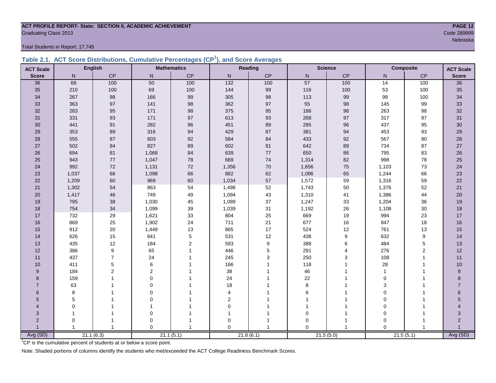#### **ACT PROFILE REPORT- State: SECTION II, ACADEMIC ACHIEVEMENT PAGE 12** Code 289999 Craduating Class 2013

Total Students in Report: 17,745

|  | Table 2.1. ACT Score Distributions, Cumulative Percentages (CP <sup>1</sup> ), and Score Averages |  |  |  |
|--|---------------------------------------------------------------------------------------------------|--|--|--|
|  |                                                                                                   |  |  |  |

| <b>ACT Scale</b>      |          | <b>English</b> |              | <b>Mathematics</b> |                         | Reading       |             | <b>Science</b> | <b>Composite</b> |                | <b>ACT Scale</b> |
|-----------------------|----------|----------------|--------------|--------------------|-------------------------|---------------|-------------|----------------|------------------|----------------|------------------|
| <b>Score</b>          | N        | CP             | $\mathsf{N}$ | CP                 | $\mathsf{N}$            | $\mathsf{CP}$ | N           | $\mathsf{CP}$  | $\mathsf{N}$     | $\mathsf{CP}$  | <b>Score</b>     |
| 36                    | 68       | 100            | $50$         | 100                | $\overline{132}$        | 100           | 57          | 100            | $\overline{14}$  | 100            | $\overline{36}$  |
| 35                    | 210      | 100            | 69           | 100                | 144                     | 99            | 116         | 100            | 53               | 100            | 35               |
| 34                    | 267      | 98             | 166          | 99                 | 305                     | 98            | 113         | 99             | 98               | 100            | 34               |
| 33                    | 363      | 97             | 141          | $98\,$             | 362                     | 97            | 55          | 98             | 145              | 99             | 33               |
| 32                    | 283      | 95             | 171          | 98                 | 375                     | 95            | 186         | 98             | 263              | 98             | 32               |
| 31                    | 331      | 93             | 171          | 97                 | 613                     | 93            | 268         | 97             | 317              | 97             | 31               |
| 30                    | 441      | 91             | 282          | $96\,$             | 451                     | 89            | 285         | 96             | 437              | 95             | 30 <sup>°</sup>  |
| 29                    | 353      | 89             | 316          | 94                 | 429                     | 87            | 381         | 94             | 453              | 93             | 29               |
| 28                    | 555      | 87             | 603          | 92                 | 584                     | 84            | 433         | $92\,$         | 567              | 90             | 28               |
| 27                    | 502      | 84             | 827          | 89                 | 602                     | 81            | 642         | 89             | 734              | 87             | 27               |
| 26                    | 694      | 81             | 1,068        | 84                 | 639                     | 77            | 650         | 86             | 795              | 83             | 26               |
| 25                    | 943      | 77             | 1,047        | 78                 | 669                     | 74            | 1,314       | 82             | 998              | 78             | 25               |
| 24                    | 992      | 72             | 1,131        | 72                 | 1,356                   | 70            | 1,656       | 75             | 1,103            | 73             | 24               |
| 23                    | 1,037    | 66             | 1,098        | 66                 | 882                     | 62            | 1,086       | 65             | 1,244            | 66             | 23               |
| 22                    | 1,209    | 60             | 969          | 60                 | 1,034                   | 57            | 1,572       | 59             | 1,316            | 59             | 22               |
| 21                    | 1,302    | 54             | 863          | 54                 | 1,498                   | 52            | 1,743       | 50             | 1,376            | 52             | 21               |
| 20                    | 1,417    | 46             | 749          | 49                 | 1,094                   | 43            | 1,310       | 41             | 1,386            | 44             | 20               |
| 19                    | 795      | 38             | 1,030        | 45                 | 1,089                   | 37            | 1,247       | 33             | 1,204            | 36             | 19               |
| 18                    | 754      | 34             | 1,099        | 39                 | 1,039                   | 31            | 1,192       | 26             | 1,108            | 30             | 18               |
| 17                    | 732      | 29             | 1,621        | 33                 | 804                     | 25            | 669         | 19             | 994              | 23             | $17$             |
| 16                    | 869      | 25             | 1,902        | 24                 | 711                     | 21            | 677         | 16             | 847              | 18             | 16               |
| 15                    | 912      | 20             | 1,449        | 13                 | 865                     | 17            | 524         | 12             | 761              | 13             | 15               |
| 14                    | 626      | 15             | 641          | $\sqrt{5}$         | 531                     | 12            | 438         | 9              | 632              | 9              | 14               |
| 13                    | 435      | 12             | 184          | $\sqrt{2}$         | 593                     | 9             | 388         | 6              | 484              | $\mathbf 5$    | 13               |
| 12                    | 386      | 9              | 65           | $\mathbf{1}$       | 446                     | 5             | 291         | 4              | 276              | $\overline{2}$ | 12               |
| 11                    | 437      | $\overline{7}$ | 24           |                    | 245                     | 3             | 250         | 3              | 108              | $\overline{1}$ | 11               |
| 10                    | 411      | 5              | 6            |                    | 166                     |               | 118         |                | 28               | -1             | $10$             |
| 9                     | 184      | $\overline{2}$ | 2            |                    | 38                      |               | 46          |                | 1                |                | 9                |
| 8                     | 159      |                | $\Omega$     |                    | 24                      |               | 22          |                | $\Omega$         |                | 8                |
| $\overline{7}$        | 63       |                | $\Omega$     |                    | 18                      |               | 8           |                | 3                |                | $\overline{7}$   |
| 6                     | 8        |                | $\Omega$     |                    | $\overline{\mathbf{4}}$ |               | 6           |                | 0                |                | 6                |
| 5                     | 5        |                | $\mathbf 0$  |                    | $\boldsymbol{2}$        |               |             |                | 0                |                | 5                |
| $\boldsymbol{\Delta}$ | $\Omega$ |                | 1            |                    | $\mathbf 0$             |               |             |                | $\Omega$         |                |                  |
| 3                     |          |                | $\mathbf 0$  | 1                  | $\mathbf 1$             |               | $\mathbf 0$ |                | $\Omega$         |                | 3                |
| $\overline{2}$        | 0        |                | $\mathbf 0$  |                    | $\mathbf 0$             |               | $\mathbf 0$ |                | $\Omega$         |                | $\overline{2}$   |
|                       | 1        | $\mathbf{1}$   | $\Omega$     | $\overline{1}$     | $\mathbf{0}$            |               | $\Omega$    |                | $\Omega$         |                |                  |
| Avg (SD)              |          | 21.1(6.3)      |              | 21.1(5.1)          |                         | 21.8(6.1)     |             | 21.5(5.0)      |                  | 21.5(5.1)      | Avg (SD)         |

<sup>1</sup>CP is the cumulative percent of students at or below a score point.

Note: Shaded portions of columns identify the students who met/exceeded the ACT College Readiness Benchmark Scores.

n de braska en de braska en de brasilista en de brasilista en de brasilista en de brasilista en de braska en d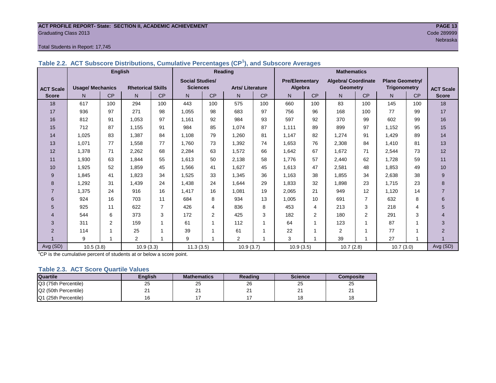#### **ACT PROFILE REPORT- State: SECTION II, ACADEMIC ACHIEVEMENT PAGE 13** Graduating Class 2013 Code 289999

#### Total Students in Report: 17,745

|                  |                         | <b>English</b> |                          |                | Reading                |                |                        |           | <b>Mathematics</b>    |                |                            |           |                        |           |                  |
|------------------|-------------------------|----------------|--------------------------|----------------|------------------------|----------------|------------------------|-----------|-----------------------|----------------|----------------------------|-----------|------------------------|-----------|------------------|
|                  |                         |                |                          |                | <b>Social Studies/</b> |                |                        |           | <b>Pre/Elementary</b> |                | <b>Algebra/ Coordinate</b> |           | <b>Plane Geometry/</b> |           |                  |
| <b>ACT Scale</b> | <b>Usage/ Mechanics</b> |                | <b>Rhetorical Skills</b> |                | <b>Sciences</b>        |                | <b>Arts/Literature</b> |           | Algebra               |                | <b>Geometry</b>            |           | <b>Trigonometry</b>    |           | <b>ACT Scale</b> |
| <b>Score</b>     | N                       | <b>CP</b>      | N                        | <b>CP</b>      | N.                     | <b>CP</b>      | N.                     | <b>CP</b> | N                     | <b>CP</b>      | N                          | <b>CP</b> | N                      | <b>CP</b> | <b>Score</b>     |
| 18               | 617                     | 100            | 294                      | 100            | 443                    | 100            | 575                    | 100       | 660                   | 100            | 83                         | 100       | 145                    | 100       | 18               |
| 17               | 936                     | 97             | 271                      | 98             | 1,055                  | 98             | 683                    | 97        | 756                   | 96             | 168                        | 100       | 77                     | 99        | 17               |
| 16               | 812                     | 91             | 1.053                    | 97             | 1.161                  | 92             | 984                    | 93        | 597                   | 92             | 370                        | 99        | 602                    | 99        | 16               |
| 15               | 712                     | 87             | 1,155                    | 91             | 984                    | 85             | 1.074                  | 87        | 1.111                 | 89             | 899                        | 97        | 1.152                  | 95        | 15               |
| 14               | 1,025                   | 83             | 1,387                    | 84             | 1,108                  | 79             | 1,260                  | 81        | 1.147                 | 82             | 1,274                      | 91        | 1,429                  | 89        | 14               |
| 13               | 1,071                   | 77             | 1,558                    | 77             | 1.760                  | 73             | 1.392                  | 74        | 1.653                 | 76             | 2,308                      | 84        | 1,410                  | 81        | 13               |
| 12               | 1,378                   | 71             | 2,262                    | 68             | 2,284                  | 63             | 1,572                  | 66        | 1,642                 | 67             | 1,672                      | 71        | 2,544                  | 73        | 12               |
| 11               | 1.930                   | 63             | 1.844                    | 55             | 1,613                  | 50             | 2.138                  | 58        | 1.776                 | 57             | 2.440                      | 62        | 1.728                  | 59        | 11               |
| 10               | 1.925                   | 52             | 1.859                    | 45             | 1,566                  | 41             | 1.627                  | 45        | 1.613                 | 47             | 2.581                      | 48        | 1.853                  | 49        | 10               |
| 9                | 1.845                   | 41             | 1.823                    | 34             | 1,525                  | 33             | 1.345                  | 36        | 1.163                 | 38             | 1,855                      | 34        | 2,638                  | 38        | 9                |
| 8                | 1,292                   | 31             | 1.439                    | 24             | 1,438                  | 24             | 1.644                  | 29        | 1,833                 | 32             | 1,898                      | 23        | 1.715                  | 23        | 8                |
| $\overline{7}$   | 1,375                   | 24             | 916                      | 16             | 1,417                  | 16             | 1,081                  | 19        | 2,065                 | 21             | 949                        | 12        | 1.120                  | 14        | 7                |
| 6                | 924                     | 16             | 703                      | 11             | 684                    | 8              | 934                    | 13        | 1,005                 | 10             | 691                        | 7         | 632                    | 8         | 6                |
| 5                | 925                     | 11             | 622                      | $\overline{7}$ | 426                    | 4              | 836                    | 8         | 453                   | $\overline{4}$ | 213                        | 3         | 218                    | 4         | 5                |
| $\overline{4}$   | 544                     | 6              | 373                      | 3              | 172                    | $\overline{2}$ | 425                    | 3         | 182                   | $\overline{2}$ | 180                        | 2         | 291                    | 3         |                  |
| 3                | 311                     | 2              | 159                      | 1              | 61                     | 1              | 112                    | -1        | 64                    | 1              | 123                        | 1         | 87                     | 1         | 3                |
| $\overline{2}$   | 114                     |                | 25                       |                | 39                     | 1              | 61                     |           | 22                    | $\overline{ }$ | 2                          |           | 77                     | 1         | $\overline{2}$   |
|                  | 9                       |                | $\overline{2}$           |                | 9                      | 1              | $\overline{2}$         |           | 3                     |                | 39                         |           | 27                     | 4         |                  |
| Avg (SD)         | 10.5(3.8)               |                | 10.9(3.3)                |                | 11.3(3.5)              |                | 10.9(3.7)              |           | 10.9(3.5)             |                | 10.7(2.8)                  |           | 10.7(3.0)              |           | Avg (SD)         |

**Table 2.2. ACT Subscore Distributions, Cumulative Percentages (CP<sup>1</sup> ), and Subscore Averages**

 $1$ <sup>-1</sup>CP is the cumulative percent of students at or below a score point.

#### **Table 2.3. ACT Score Quartile Values**

| <b>Quartile</b>      | Enalish | <b>Mathematics</b> | Reading       | <b>Science</b> | Composite |
|----------------------|---------|--------------------|---------------|----------------|-----------|
| Q3 (75th Percentile) | 25      | 25                 | 26            | 25             | 25        |
| Q2 (50th Percentile) | . .     | <u>_</u>           | ⌒<br><u>_</u> | <u>_</u>       | -         |
| Q1 (25th Percentile) |         |                    |               | 18             | 18        |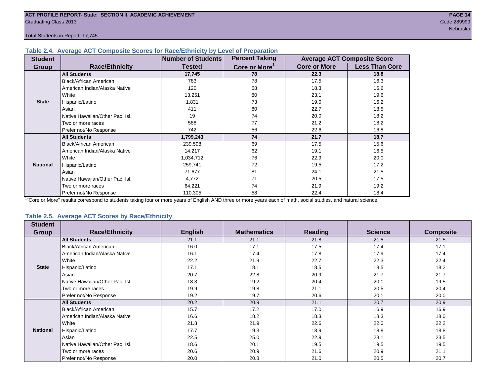Total Students in Report: 17,745

#### **Table 2.4. Average ACT Composite Scores for Race/Ethnicity by Level of Preparation**

| <b>Student</b>  |                                 | Number of Students | <b>Percent Taking</b>     |                     | <b>Average ACT Composite Score</b> |
|-----------------|---------------------------------|--------------------|---------------------------|---------------------|------------------------------------|
| <b>Group</b>    | <b>Race/Ethnicity</b>           | <b>Tested</b>      | Core or More <sup>1</sup> | <b>Core or More</b> | <b>Less Than Core</b>              |
|                 | <b>All Students</b>             | 17,745             | 78                        | 22.3                | 18.8                               |
|                 | Black/African American          | 783                | 78                        | 17.5                | 16.3                               |
|                 | American Indian/Alaska Native   | 120                | 58                        | 18.3                | 16.6                               |
|                 | White                           | 13,251             | 80                        | 23.1                | 19.6                               |
| <b>State</b>    | Hispanic/Latino                 | 1,831              | 73                        | 19.0                | 16.2                               |
|                 | Asian                           | 411                | 80                        | 22.7                | 18.5                               |
|                 | Native Hawaiian/Other Pac. Isl. | 19                 | 74                        | 20.0                | 18.2                               |
|                 | Two or more races               | 588                | 77                        | 21.2                | 18.2                               |
|                 | Prefer not/No Response          | 742                | 56                        | 22.6                | 16.8                               |
|                 | <b>All Students</b>             | 1,799,243          | 74                        | 21.7                | 18.7                               |
|                 | Black/African American          | 239,598            | 69                        | 17.5                | 15.6                               |
|                 | American Indian/Alaska Native   | 14,217             | 62                        | 19.1                | 16.5                               |
|                 | White                           | 1,034,712          | 76                        | 22.9                | 20.0                               |
| <b>National</b> | Hispanic/Latino                 | 259,741            | 72                        | 19.5                | 17.2                               |
|                 | Asian                           | 71,677             | 81                        | 24.1                | 21.5                               |
|                 | Native Hawaiian/Other Pac. Isl. | 4,772              | 71                        | 20.5                | 17.5                               |
|                 | Two or more races               | 64,221             | 74                        | 21.9                | 19.2                               |
|                 | Prefer not/No Response          | 110,305            | 58                        | 22.4                | 18.4                               |

<sup>1</sup>"Core or More" results correspond to students taking four or more years of English AND three or more years each of math, social studies, and natural science.

#### **Table 2.5. Average ACT Scores by Race/Ethnicity**

| <b>Student</b>  | <b>Race/Ethnicity</b>           | <b>English</b> | <b>Mathematics</b> | Reading | <b>Science</b> | <b>Composite</b> |
|-----------------|---------------------------------|----------------|--------------------|---------|----------------|------------------|
| Group           |                                 |                |                    |         |                |                  |
|                 | <b>All Students</b>             | 21.1           | 21.1               | 21.8    | 21.5           | 21.5             |
|                 | <b>Black/African American</b>   | 16.0           | 17.1               | 17.5    | 17.4           | 17.1             |
|                 | American Indian/Alaska Native   | 16.1           | 17.4               | 17.8    | 17.9           | 17.4             |
|                 | <b>White</b>                    | 22.2           | 21.9               | 22.7    | 22.3           | 22.4             |
| <b>State</b>    | Hispanic/Latino                 | 17.1           | 18.1               | 18.5    | 18.5           | 18.2             |
|                 | Asian                           | 20.7           | 22.8               | 20.9    | 21.7           | 21.7             |
|                 | Native Hawaiian/Other Pac. Isl. | 18.3           | 19.2               | 20.4    | 20.1           | 19.5             |
|                 | Two or more races               | 19.9           | 19.8               | 21.1    | 20.5           | 20.4             |
|                 | Prefer not/No Response          | 19.2           | 19.7               | 20.6    | 20.1           | 20.0             |
|                 | <b>All Students</b>             | 20.2           | 20.9               | 21.1    | 20.7           | 20.9             |
|                 | <b>Black/African American</b>   | 15.7           | 17.2               | 17.0    | 16.9           | 16.9             |
|                 | American Indian/Alaska Native   | 16.6           | 18.2               | 18.3    | 18.3           | 18.0             |
|                 | White                           | 21.8           | 21.9               | 22.6    | 22.0           | 22.2             |
| <b>National</b> | Hispanic/Latino                 | 17.7           | 19.3               | 18.9    | 18.8           | 18.8             |
|                 | Asian                           | 22.5           | 25.0               | 22.9    | 23.1           | 23.5             |
|                 | Native Hawaiian/Other Pac. Isl. | 18.6           | 20.1               | 19.5    | 19.5           | 19.5             |
|                 | Two or more races               | 20.6           | 20.9               | 21.6    | 20.9           | 21.1             |
|                 | Prefer not/No Response          | 20.0           | 20.8               | 21.0    | 20.5           | 20.7             |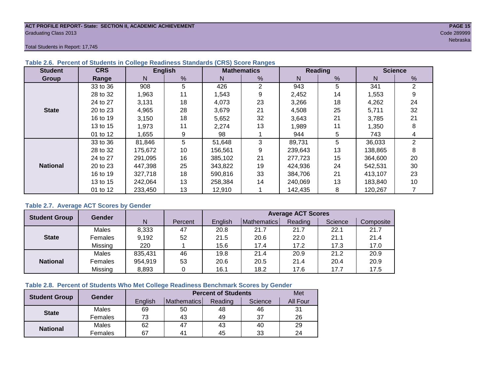#### **ACT PROFILE REPORT- State: SECTION II, ACADEMIC ACHIEVEMENT PAGE 15** Graduating Class 2013 Code 289999

Total Students in Report: 17,745

| <b>Student</b>  | <b>CRS</b> |         | <b>English</b> |         | <b>Mathematics</b> |         | Reading       |         | <b>Science</b> |
|-----------------|------------|---------|----------------|---------|--------------------|---------|---------------|---------|----------------|
| Group           | Range      | N.      | %              | N       | %                  | N       | $\frac{9}{6}$ | N       | %              |
|                 | 33 to 36   | 908     | 5              | 426     | 2                  | 943     | 5             | 341     | $\overline{2}$ |
|                 | 28 to 32   | 1,963   | 11             | 1,543   | 9                  | 2,452   | 14            | 1,553   | 9              |
|                 | 24 to 27   | 3,131   | 18             | 4,073   | 23                 | 3,266   | 18            | 4,262   | 24             |
| <b>State</b>    | 20 to 23   | 4,965   | 28             | 3,679   | 21                 | 4,508   | 25            | 5,711   | 32             |
|                 | 16 to 19   | 3,150   | 18             | 5,652   | 32                 | 3,643   | 21            | 3,785   | 21             |
|                 | 13 to 15   | 1,973   | 11             | 2,274   | 13                 | 1,989   | 11            | 1,350   | 8              |
|                 | 01 to 12   | 1,655   | 9              | 98      |                    | 944     | 5             | 743     | 4              |
|                 | 33 to 36   | 81,846  | 5              | 51,648  | 3                  | 89,731  | 5             | 36,033  | $\overline{2}$ |
|                 | 28 to 32   | 175,672 | 10             | 156,561 | 9                  | 239,643 | 13            | 138,865 | 8              |
|                 | 24 to 27   | 291.095 | 16             | 385.102 | 21                 | 277,723 | 15            | 364,600 | 20             |
| <b>National</b> | 20 to 23   | 447,398 | 25             | 343.822 | 19                 | 424,936 | 24            | 542,531 | 30             |
|                 | 16 to 19   | 327,718 | 18             | 590,816 | 33                 | 384,706 | 21            | 413,107 | 23             |
|                 | 13 to 15   | 242,064 | 13             | 258.384 | 14                 | 240,069 | 13            | 183,840 | 10             |
|                 | 01 to 12   | 233,450 | 13             | 12,910  |                    | 142,435 | 8             | 120,267 |                |

### **Table 2.6. Percent of Students in College Readiness Standards (CRS) Score Ranges**

### **Table 2.7. Average ACT Scores by Gender**

| <b>Student Group</b> | <b>Gender</b> |         |         | <b>Average ACT Scores</b> |             |         |         |           |  |  |  |  |
|----------------------|---------------|---------|---------|---------------------------|-------------|---------|---------|-----------|--|--|--|--|
|                      |               | N       | Percent | Enalish                   | Mathematics | Reading | Science | Composite |  |  |  |  |
|                      | Males         | 8,333   | 47      | 20.8                      | 21.7        | 21.7    | 22.1    | 21.7      |  |  |  |  |
| <b>State</b>         | Females       | 9,192   | 52      | 21.5                      | 20.6        | 22.0    | 21.1    | 21.4      |  |  |  |  |
|                      | Missing       | 220     |         | 15.6                      | 17.4        | 17.2    | 17.3    | 17.0      |  |  |  |  |
|                      | Males         | 835,431 | 46      | 19.8                      | 21.4        | 20.9    | 21.2    | 20.9      |  |  |  |  |
| <b>National</b>      | Females       | 954,919 | 53      | 20.6                      | 20.5        | 21.4    | 20.4    | 20.9      |  |  |  |  |
|                      | Missing       | 8,893   | 0       | 16.1                      | 18.2        | 17.6    | 17.7    | 17.5      |  |  |  |  |

#### **Table 2.8. Percent of Students Who Met College Readiness Benchmark Scores by Gender**

| <b>Student Group</b> | Gender  |         | Met            |         |         |                 |
|----------------------|---------|---------|----------------|---------|---------|-----------------|
|                      |         | English | Mathematics    | Reading | Science | <b>All Four</b> |
|                      | Males   | 69      | 50             | 48      | 46      | 31              |
| <b>State</b>         | Females | 73      | 43             | 49      | 37      | 26              |
|                      | Males   | 62      | 47             | 43      | 40      | 29              |
| <b>National</b>      | Females | 67      | 4 <sup>1</sup> | 45      | 33      | 24              |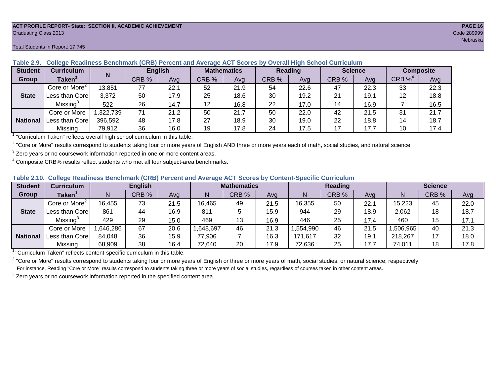#### **ACT PROFILE REPORT- State: SECTION II, ACADEMIC ACHIEVEMENT PAGE 16** Graduating Class 2013 Code 289999

#### Total Students in Report: 17,745

| <b>Student</b>  | Curriculum                              | N        | <b>English</b> |      | <b>Mathematics</b> |      | <b>Reading</b> |      | <b>Science</b> |      | <b>Composite</b> |      |
|-----------------|-----------------------------------------|----------|----------------|------|--------------------|------|----------------|------|----------------|------|------------------|------|
| Group           | Taken $^{\scriptscriptstyle\mathsf{T}}$ |          | CRB %          | Avg  | CRB %              | Avg  | CRB %          | Avg  | CRB %          | Ava  | CRB $\%^4$       | Avg  |
|                 | Core or More <sup>2</sup>               | 13,851   | 77             | 22.1 | 52                 | 21.9 | 54             | 22.6 | 47             | 22.3 | 33               | 22.3 |
| <b>State</b>    | Less than Core                          | 3,372    | 50             | 17.9 | 25                 | 18.6 | 30             | 19.2 | 21             | 19.1 | 12               | 18.8 |
|                 | Missing <sup>3</sup>                    | 522      | 26             | 14.7 | 12                 | 16.8 | 22             | 17.0 | 14             | 16.9 |                  | 16.5 |
|                 | Core or More                            | ,322,739 | 71             | 21.2 | 50                 | 21.7 | 50             | 22.0 | 42             | 21.5 | 31               | 21.7 |
| <b>National</b> | Less than Core                          | 396,592  | 48             | 17.8 | 27                 | 18.9 | 30             | 19.0 | 22             | 18.8 | 14               | 18.7 |
|                 | Missing                                 | 79,912   | 36             | 16.0 | 19                 | 17.8 | 24             | 17.5 | 17             | 17.7 | 10               | 17.4 |

**Table 2.9. College Readiness Benchmark (CRB) Percent and Average ACT Scores by Overall High School Curriculum**

<sup>1</sup> "Curriculum Taken" reflects overall high school curriculum in this table.

 $^2$  "Core or More" results correspond to students taking four or more years of English AND three or more years each of math, social studies, and natural science.

 $3$  Zero years or no coursework information reported in one or more content areas.

 $4$  Composite CRB% results reflect students who met all four subject-area benchmarks.

|  |  |  |  |  |  | Table 2.10. College Readiness Benchmark (CRB) Percent and Average ACT Scores by Content-Specific Curriculum |
|--|--|--|--|--|--|-------------------------------------------------------------------------------------------------------------|
|--|--|--|--|--|--|-------------------------------------------------------------------------------------------------------------|

| <b>Student</b>  | Curriculum                    |          | <b>English</b> |      | <b>Mathematics</b> |       |      | <b>Reading</b> |       |      | <b>Science</b> |       |      |
|-----------------|-------------------------------|----------|----------------|------|--------------------|-------|------|----------------|-------|------|----------------|-------|------|
| Group           | $\mathsf{Taken}^{\mathsf{T}}$ |          | CRB %          | Avg  | N                  | CRB % | Avg  | N              | CRB % | Avg  | N              | CRB % | Avg  |
|                 | Core or More <sup>2</sup>     | 16,455   | 73             | 21.5 | 16,465             | 49    | 21.5 | 16,355         | 50    | 22.7 | 15,223         | 45    | 22.0 |
| <b>State</b>    | Less than Corel               | 861      | 44             | 16.9 | 81'                |       | 15.9 | 944            | 29    | 18.9 | 2,062          | 18    | 18.7 |
|                 | Missing <sup>3</sup>          | 429      | 29             | 15.0 | 469                | 13    | 16.9 | 446            | 25    | 17.4 | 460            | 15    | 17.1 |
|                 | Core or More                  | .646,286 | 67             | 20.6 | ,648,697           | 46    | 21.3 | .554,990       | 46    | 21.5 | ,506,965       | 40    | 21.3 |
| <b>National</b> | Less than Core                | 84,048   | 36             | 15.9 | 77,906             |       | 16.3 | 171,617        | 32    | 19.7 | 218,267        |       | 18.0 |
|                 | Missing                       | 68,909   | 38             | 16.4 | 72,640             | 20    | 17.9 | 72,636         | 25    | 17.7 | 74,011         | 18    | 17.8 |

<sup>1</sup>"Curriculum Taken" reflects content-specific curriculum in this table.

<sup>2</sup> "Core or More" results correspond to students taking four or more years of English or three or more years of math, social studies, or natural science, respectively. For instance, Reading "Core or More" results correspond to students taking three or more years of social studies, regardless of courses taken in other content areas.

 $3$  Zero years or no coursework information reported in the specified content area.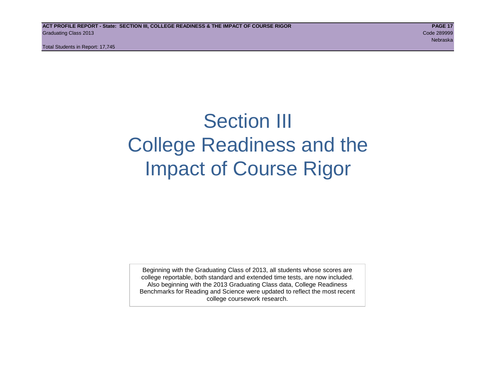Total Students in Report: 17,745

# Section III College Readiness and the Impact of Course Rigor

Beginning with the Graduating Class of 2013, all students whose scores are college reportable, both standard and extended time tests, are now included. Also beginning with the 2013 Graduating Class data, College Readiness Benchmarks for Reading and Science were updated to reflect the most recent college coursework research.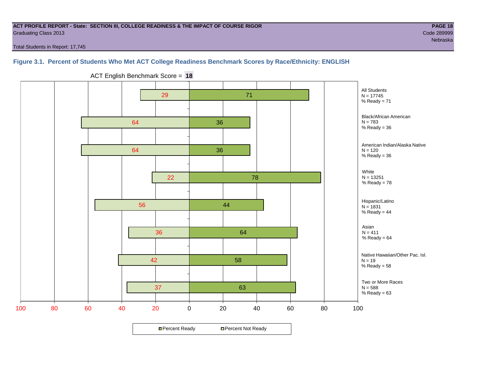#### **ACT PROFILE REPORT - State: SECTION III, COLLEGE READINESS & THE IMPACT OF COURSE RIGOR PAGE 18** Graduating Class 2013 Code 289999

nebraska ing pangalang pangalang pangalang pangalang pangalang pangalang pangalang pangalang pangalang pangala

Total Students in Report: 17,745

# **Figure 3.1. Percent of Students Who Met ACT College Readiness Benchmark Scores by Race/Ethnicity: ENGLISH**



ACT English Benchmark Score = **18**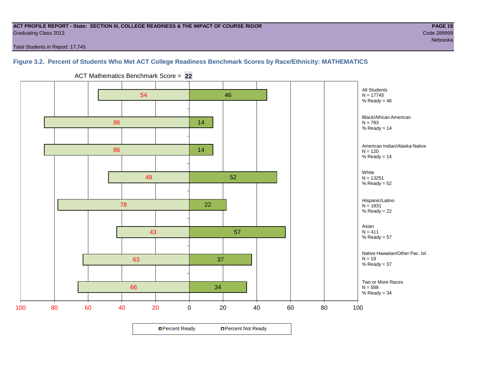#### **ACT PROFILE REPORT - State: SECTION III, COLLEGE READINESS & THE IMPACT OF COURSE RIGOR PAGE 19** Graduating Class 2013 Code 289999

Total Students in Report: 17,745

# **Figure 3.2. Percent of Students Who Met ACT College Readiness Benchmark Scores by Race/Ethnicity: MATHEMATICS**



ACT Mathematics Benchmark Score = **22**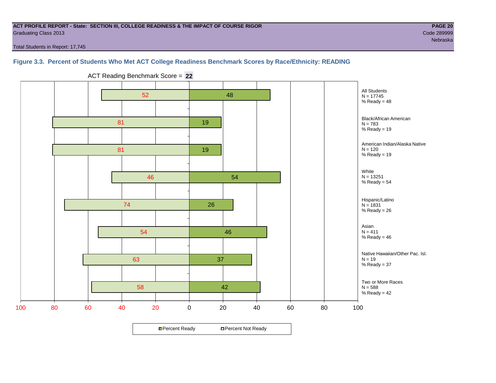#### **ACT PROFILE REPORT - State: SECTION III, COLLEGE READINESS & THE IMPACT OF COURSE RIGOR PAGE 20** Graduating Class 2013 Code 289999

Total Students in Report: 17,745

### **Figure 3.3. Percent of Students Who Met ACT College Readiness Benchmark Scores by Race/Ethnicity: READING**



ACT Reading Benchmark Score = **22**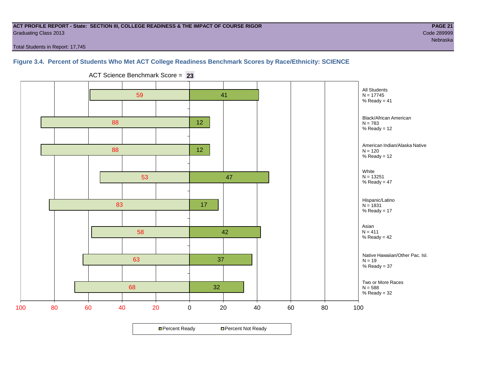#### **ACT PROFILE REPORT - State: SECTION III, COLLEGE READINESS & THE IMPACT OF COURSE RIGOR PAGE 21** Graduating Class 2013 Code 289999

nebraska ing pangalang pangalang pangalang pangalang pangalang pangalang pangalang pangalang pangalang pangala

Total Students in Report: 17,745

### **Figure 3.4. Percent of Students Who Met ACT College Readiness Benchmark Scores by Race/Ethnicity: SCIENCE**



ACT Science Benchmark Score = **23**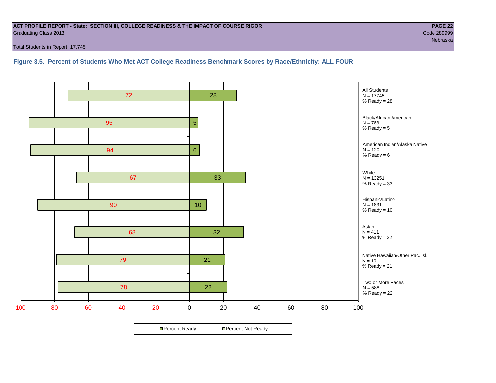#### **ACT PROFILE REPORT - State: SECTION III, COLLEGE READINESS & THE IMPACT OF COURSE RIGOR PAGE 22** Graduating Class 2013 Code 289999

Total Students in Report: 17,745

**Figure 3.5. Percent of Students Who Met ACT College Readiness Benchmark Scores by Race/Ethnicity: ALL FOUR**

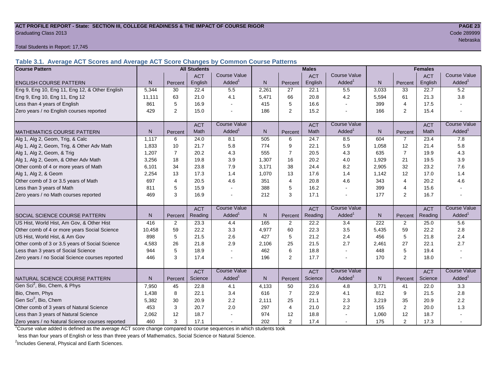#### ACT PROFILE REPORT - State: SECTION III, COLLEGE READINESS & THE IMPACT OF COURSE RIGOR **PAGE 23** Graduating Class 2013 Code 289999

Total Students in Report: 17,745

**Table 3.1. Average ACT Scores and Average ACT Score Changes by Common Course Patterns**

| <b>Course Pattern</b>                            |        |                | <b>All Students</b> |                          |              |                | <b>Males</b> |                       |              | <b>Females</b>          |            |                        |
|--------------------------------------------------|--------|----------------|---------------------|--------------------------|--------------|----------------|--------------|-----------------------|--------------|-------------------------|------------|------------------------|
|                                                  |        |                | <b>ACT</b>          | <b>Course Value</b>      |              |                | <b>ACT</b>   | <b>Course Value</b>   |              |                         | <b>ACT</b> | <b>Course Value</b>    |
| <b>ENGLISH COURSE PATTERN</b>                    | N.     | Percent        | English             | Added <sup>1</sup>       | $\mathsf{N}$ | Percent        | English      | Added <sup>1</sup>    | $\mathsf{N}$ | Percent                 | English    | A d d e d <sup>1</sup> |
| Eng 9, Eng 10, Eng 11, Eng 12, & Other English   | 5,344  | 30             | 22.4                | 5.5                      | 2,261        | 27             | 22.1         | 5.5                   | 3,033        | 33                      | 22.7       | 5.2                    |
| Eng 9, Eng 10, Eng 11, Eng 12                    | 11,111 | 63             | 21.0                | 4.1                      | 5,471        | 66             | 20.8         | 4.2                   | 5,594        | 61                      | 21.3       | 3.8                    |
| Less than 4 years of English                     | 861    | 5              | 16.9                |                          | 415          | 5              | 16.6         | $\sim$                | 399          | $\overline{\mathbf{4}}$ | 17.5       |                        |
| Zero years / no English courses reported         | 429    | 2              | 15.0                |                          | 186          | 2              | 15.2         |                       | 166          | 2                       | 15.4       |                        |
|                                                  |        |                | <b>ACT</b>          | <b>Course Value</b>      |              |                | <b>ACT</b>   | <b>Course Value</b>   |              |                         | <b>ACT</b> | <b>Course Value</b>    |
| <b>MATHEMATICS COURSE PATTERN</b>                | N.     | Percent        | Math                | Added <sup>1</sup>       | N            | Percent        | Math         | Added <sup>1</sup>    | N            | Percent                 | Math       | A d d e d <sup>1</sup> |
| Alg 1, Alg 2, Geom, Trig, & Calc                 | 1,117  | 6              | 24.0                | 8.1                      | 505          | 6              | 24.7         | 8.5                   | 604          | $\overline{7}$          | 23.4       | 7.8                    |
| Alg 1, Alg 2, Geom, Trig, & Other Adv Math       | 1.833  | 10             | 21.7                | 5.8                      | 774          | 9              | 22.1         | 5.9                   | 1,058        | 12                      | 21.4       | 5.8                    |
| Alg 1, Alg 2, Geom, & Trig                       | 1,207  | $\overline{7}$ | 20.2                | 4.3                      | 555          | $\overline{7}$ | 20.5         | 4.3                   | 635          | $\overline{7}$          | 19.9       | 4.3                    |
| Alg 1, Alg 2, Geom, & Other Adv Math             | 3,256  | 18             | 19.8                | 3.9                      | 1,307        | 16             | 20.2         | 4.0                   | 1,929        | 21                      | 19.5       | 3.9                    |
| Other comb of 4 or more years of Math            | 6,101  | 34             | 23.8                | 7.9                      | 3.171        | 38             | 24.4         | 8.2                   | 2,905        | 32                      | 23.2       | 7.6                    |
| Alg 1, Alg 2, & Geom                             | 2,254  | 13             | 17.3                | 1.4                      | 1,070        | 13             | 17.6         | 1.4                   | 1,142        | 12                      | 17.0       | 1.4                    |
| Other comb of 3 or 3.5 years of Math             | 697    | $\overline{4}$ | 20.5                | 4.6                      | 351          | $\overline{4}$ | 20.8         | 4.6                   | 343          | $\overline{4}$          | 20.2       | 4.6                    |
| Less than 3 years of Math                        | 811    | 5              | 15.9                |                          | 388          | 5              | 16.2         | $\tilde{\phantom{a}}$ | 399          | 4                       | 15.6       |                        |
| Zero years / no Math courses reported            | 469    | 3              | 16.9                |                          | 212          | 3              | 17.1         | $\blacksquare$        | 177          | $\overline{2}$          | 16.7       |                        |
|                                                  |        |                | <b>ACT</b>          | <b>Course Value</b>      |              |                | <b>ACT</b>   | <b>Course Value</b>   |              |                         | <b>ACT</b> | <b>Course Value</b>    |
| <b>SOCIAL SCIENCE COURSE PATTERN</b>             | N      | Percent        | Reading             | $A d d e d$ <sup>1</sup> | N            | Percent        | Reading      | Added <sup>1</sup>    | N            | Percent                 | Reading    | A d d e d <sup>1</sup> |
| US Hist, World Hist, Am Gov, & Other Hist        | 416    | $\overline{2}$ | 23.3                | 4.4                      | 165          | 2              | 22.2         | 3.4                   | 222          | 2                       | 25.0       | 5.6                    |
| Other comb of 4 or more years Social Science     | 10,458 | 59             | 22.2                | 3.3                      | 4,977        | 60             | 22.3         | 3.5                   | 5,435        | 59                      | 22.2       | 2.8                    |
| US Hist, World Hist, & Am Gov                    | 898    | 5              | 21.5                | 2.6                      | 427          | 5              | 21.2         | 2.4                   | 456          | 5                       | 21.8       | 2.4                    |
| Other comb of 3 or 3.5 years of Social Science   | 4.583  | 26             | 21.8                | 2.9                      | 2,106        | 25             | 21.5         | 2.7                   | 2,461        | 27                      | 22.1       | 2.7                    |
| Less than 3 years of Social Science              | 944    | 5              | 18.9                |                          | 462          | 6              | 18.8         | $\sim$                | 448          | 5                       | 19.4       |                        |
| Zero years / no Social Science courses reported  | 446    | 3              | 17.4                |                          | 196          | $\mathbf{2}$   | 17.7         | $\blacksquare$        | 170          | $\overline{2}$          | 18.0       |                        |
|                                                  |        |                | <b>ACT</b>          | <b>Course Value</b>      |              |                | <b>ACT</b>   | <b>Course Value</b>   |              |                         | <b>ACT</b> | <b>Course Value</b>    |
| NATURAL SCIENCE COURSE PATTERN                   | N.     | Percent        | Science             | Added <sup>1</sup>       | $\mathsf{N}$ | Percent        | Science      | Added <sup>1</sup>    | $\mathsf{N}$ | Percent                 | Science    | A d d e d <sup>1</sup> |
| Gen Sci <sup>2</sup> , Bio, Chem, & Phys         | 7,950  | 45             | 22.8                | 4.1                      | 4,133        | 50             | 23.6         | 4.8                   | 3,771        | 41                      | 22.0       | 3.3                    |
| Bio, Chem, Phys                                  | 1,438  | 8              | 22.1                | 3.4                      | 616          | $\overline{7}$ | 22.9         | 4.1                   | 812          | 9                       | 21.5       | 2.8                    |
| Gen Sci <sup>2</sup> , Bio, Chem                 | 5,382  | 30             | 20.9                | 2.2                      | 2,111        | 25             | 21.1         | 2.3                   | 3,219        | 35                      | 20.9       | 2.2                    |
| Other comb of 3 years of Natural Science         | 453    | 3              | 20.7                | 2.0                      | 297          | $\overline{4}$ | 21.0         | 2.2                   | 155          | $\overline{2}$          | 20.0       | 1.3                    |
| Less than 3 years of Natural Science             | 2,062  | 12             | 18.7                |                          | 974          | 12             | 18.8         |                       | 1,060        | 12                      | 18.7       |                        |
| Zero years / no Natural Science courses reported | 460    | 3              | 17.1                |                          | 202          | $\overline{2}$ | 17.4         |                       | 175          | $\overline{2}$          | 17.3       |                        |

<sup>1</sup>Course value added is defined as the average ACT score change compared to course sequences in which students took

less than four years of English or less than three years of Mathematics, Social Science or Natural Science.

<sup>2</sup>Includes General, Physical and Earth Sciences.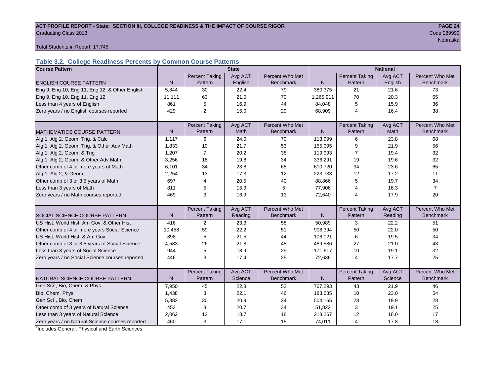#### ACT PROFILE REPORT - State: SECTION III, COLLEGE READINESS & THE IMPACT OF COURSE RIGOR **PAGE 24** Graduating Class 2013 Code 289999

Nebraska i Santa Santa Santa Santa Santa Santa Santa Santa Santa Santa Santa Santa Santa Santa Santa Santa San

Total Students in Report: 17,745

# **Table 3.2. College Readiness Percents by Common Course Patterns**

| <b>Course Pattern</b>                            |        |                       | <b>State</b> |                  |              |                       | <b>National</b> |                  |
|--------------------------------------------------|--------|-----------------------|--------------|------------------|--------------|-----------------------|-----------------|------------------|
|                                                  |        | <b>Percent Taking</b> | Avg ACT      | Percent Who Met  |              | <b>Percent Taking</b> | Avg ACT         | Percent Who Met  |
| <b>ENGLISH COURSE PATTERN</b>                    | N      | Pattern               | English      | <b>Benchmark</b> | $\mathsf{N}$ | Pattern               | English         | <b>Benchmark</b> |
| Eng 9, Eng 10, Eng 11, Eng 12, & Other English   | 5,344  | 30                    | 22.4         | 79               | 380,375      | 21                    | 21.6            | 73               |
| Eng 9, Eng 10, Eng 11, Eng 12                    | 11,111 | 63                    | 21.0         | 70               | 1,265,911    | 70                    | 20.3            | 65               |
| Less than 4 years of English                     | 861    | 5                     | 16.9         | 44               | 84,048       | 5                     | 15.9            | 36               |
| Zero years / no English courses reported         | 429    | $\overline{2}$        | 15.0         | 29               | 68,909       | 4                     | 16.4            | 38               |
|                                                  |        |                       |              |                  |              |                       |                 |                  |
|                                                  |        | <b>Percent Taking</b> | Avg ACT      | Percent Who Met  |              | <b>Percent Taking</b> | Avg ACT         | Percent Who Met  |
| <b>MATHEMATICS COURSE PATTERN</b>                | N      | Pattern               | Math         | <b>Benchmark</b> | N            | Pattern               | Math            | <b>Benchmark</b> |
| Alg 1, Alg 2, Geom, Trig, & Calc                 | 1,117  | 6                     | 24.0         | 70               | 113,999      | 6                     | 23.8            | 68               |
| Alg 1, Alg 2, Geom, Trig, & Other Adv Math       | 1,833  | 10                    | 21.7         | 53               | 155,095      | 9                     | 21.9            | 56               |
| Alg 1, Alg 2, Geom, & Trig                       | 1,207  | $\overline{7}$        | 20.2         | 38               | 119,993      | 7                     | 19.4            | 32               |
| Alg 1, Alg 2, Geom, & Other Adv Math             | 3,256  | 18                    | 19.8         | 34               | 336,291      | 19                    | 19.6            | 32               |
| Other comb of 4 or more years of Math            | 6,101  | 34                    | 23.8         | 68               | 610,720      | 34                    | 23.6            | 65               |
| Alg 1, Alg 2, & Geom                             | 2,254  | 13                    | 17.3         | 12               | 223,733      | 12                    | 17.2            | 11               |
| Other comb of 3 or 3.5 years of Math             | 697    | $\overline{4}$        | 20.5         | 40               | 88,866       | 5                     | 19.7            | 34               |
| Less than 3 years of Math                        | 811    | 5                     | 15.9         | 5                | 77,906       | 4                     | 16.3            | $\overline{7}$   |
| Zero years / no Math courses reported            | 469    | 3                     | 16.9         | 13               | 72,640       | 4                     | 17.9            | 20               |
|                                                  |        |                       |              |                  |              |                       |                 |                  |
|                                                  |        | <b>Percent Taking</b> | Avg ACT      | Percent Who Met  |              | Percent Taking        | Avg ACT         | Percent Who Met  |
| SOCIAL SCIENCE COURSE PATTERN                    | N      | Pattern               | Reading      | <b>Benchmark</b> | N            | Pattern               | Reading         | <b>Benchmark</b> |
| US Hist, World Hist, Am Gov, & Other Hist        | 416    | 2                     | 23.3         | 58               | 50,989       | 3                     | 22.2            | 51               |
| Other comb of 4 or more years Social Science     | 10,458 | 59                    | 22.2         | 51               | 908,394      | 50                    | 22.0            | 50               |
| US Hist, World Hist, & Am Gov                    | 898    | 5                     | 21.5         | 44               | 106,021      | 6                     | 19.5            | 34               |
| Other comb of 3 or 3.5 years of Social Science   | 4,583  | 26                    | 21.8         | 48               | 489,586      | 27                    | 21.0            | 43               |
| Less than 3 years of Social Science              | 944    | 5                     | 18.9         | 29               | 171,617      | 10                    | 19.1            | 32               |
| Zero years / no Social Science courses reported  | 446    | 3                     | 17.4         | 25               | 72,636       | 4                     | 17.7            | 25               |
|                                                  |        |                       |              |                  |              |                       |                 |                  |
|                                                  |        | <b>Percent Taking</b> | Avg ACT      | Percent Who Met  |              | <b>Percent Taking</b> | Avg ACT         | Percent Who Met  |
| NATURAL SCIENCE COURSE PATTERN                   | N      | Pattern               | Science      | <b>Benchmark</b> | N            | Pattern               | Science         | <b>Benchmark</b> |
| Gen Sci <sup>1</sup> , Bio, Chem, & Phys         | 7,950  | 45                    | 22.8         | 52               | 767,293      | 43                    | 21.9            | 46               |
| Bio, Chem, Phys                                  | 1,438  | 8                     | 22.1         | 46               | 183,685      | 10                    | 23.0            | 54               |
| Gen Sci <sup>1</sup> , Bio, Chem                 | 5,382  | 30                    | 20.9         | 34               | 504,165      | 28                    | 19.9            | 28               |
| Other comb of 3 years of Natural Science         | 453    | 3                     | 20.7         | 34               | 51,822       | 3                     | 19.1            | 25               |
| Less than 3 years of Natural Science             | 2,062  | 12                    | 18.7         | 18               | 218,267      | 12                    | 18.0            | 17               |
| Zero years / no Natural Science courses reported | 460    | 3                     | 17.1         | 15               | 74,011       | 4                     | 17.8            | 18               |

<sup>1</sup>Includes General, Physical and Earth Sciences.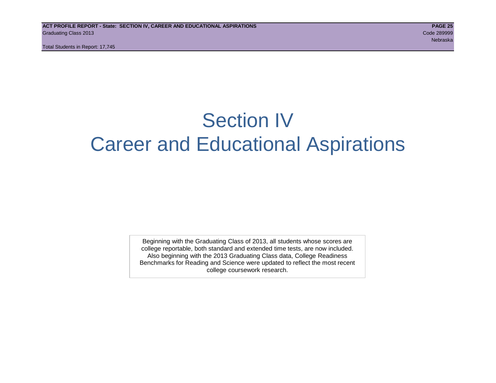Total Students in Report: 17,745

# Section IV Career and Educational Aspirations

Beginning with the Graduating Class of 2013, all students whose scores are college reportable, both standard and extended time tests, are now included. Also beginning with the 2013 Graduating Class data, College Readiness Benchmarks for Reading and Science were updated to reflect the most recent college coursework research.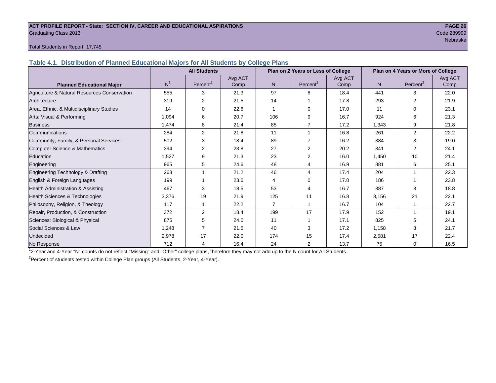#### **ACT PROFILE REPORT - State: SECTION IV, CAREER AND EDUCATIONAL ASPIRATIONS PAGE 26** Graduating Class 2013 Code 289999

# nebraska ing pangalang pangalang pangalang pangalang pangalang pangalang pangalang pangalang pangalang pangala

#### Total Students in Report: 17,745

**Table 4.1. Distribution of Planned Educational Majors for All Students by College Plans**

|                                              |                | <b>All Students</b>  |                 | Plan on 2 Years or Less of College |                      |                 | Plan on 4 Years or More of College |                      |                 |  |
|----------------------------------------------|----------------|----------------------|-----------------|------------------------------------|----------------------|-----------------|------------------------------------|----------------------|-----------------|--|
| <b>Planned Educational Major</b>             | N <sup>1</sup> | Percent <sup>2</sup> | Avg ACT<br>Comp | N <sub>1</sub>                     | Percent <sup>2</sup> | Avg ACT<br>Comp | N.                                 | Percent <sup>2</sup> | Avg ACT<br>Comp |  |
| Agriculture & Natural Resources Conservation | 555            | 3                    | 21.3            | 97                                 | 8                    | 18.4            | 441                                | 3                    | 22.0            |  |
| Architecture                                 | 319            | 2                    | 21.5            | 14                                 |                      | 17.8            | 293                                | 2                    | 21.9            |  |
| Area, Ethnic, & Multidisciplinary Studies    | 14             | $\Omega$             | 22.6            |                                    | $\Omega$             | 17.0            | 11                                 | 0                    | 23.1            |  |
| Arts: Visual & Performing                    | 1,094          | 6                    | 20.7            | 106                                | я                    | 16.7            | 924                                | 6                    | 21.3            |  |
| <b>Business</b>                              | 1,474          | 8                    | 21.4            | 85                                 |                      | 17.2            | 1,343                              | 9                    | 21.8            |  |
| Communications                               | 284            | $\overline{2}$       | 21.8            | 11                                 |                      | 16.8            | 261                                | $\overline{2}$       | 22.2            |  |
| Community, Family, & Personal Services       | 502            | 3                    | 18.4            | 89                                 |                      | 16.2            | 384                                | 3                    | 19.0            |  |
| <b>Computer Science &amp; Mathematics</b>    | 394            | $\overline{2}$       | 23.8            | 27                                 | 2                    | 20.2            | 341                                | 2                    | 24.1            |  |
| Education                                    | 1,527          | 9                    | 21.3            | 23                                 | 2                    | 16.0            | 1,450                              | 10                   | 21.4            |  |
| Engineering                                  | 965            | 5                    | 24.6            | 48                                 | 4                    | 16.9            | 881                                | 6                    | 25.1            |  |
| Engineering Technology & Drafting            | 263            |                      | 21.2            | 46                                 | 4                    | 17.4            | 204                                |                      | 22.3            |  |
| English & Foreign Languages                  | 199            |                      | 23.6            | 4                                  | $\Omega$             | 17.0            | 186                                |                      | 23.8            |  |
| Health Administration & Assisting            | 467            | 3                    | 18.5            | 53                                 |                      | 16.7            | 387                                | 3                    | 18.8            |  |
| Health Sciences & Technologies               | 3,376          | 19                   | 21.9            | 125                                | 11                   | 16.8            | 3,156                              | 21                   | 22.1            |  |
| Philosophy, Religion, & Theology             | 117            |                      | 22.2            | $\overline{7}$                     |                      | 16.7            | 104                                |                      | 22.7            |  |
| Repair, Production, & Construction           | 372            | 2                    | 18.4            | 199                                | 17                   | 17.9            | 152                                |                      | 19.1            |  |
| Sciences: Biological & Physical              | 875            | 5                    | 24.0            | 11                                 |                      | 17.1            | 825                                | 5                    | 24.1            |  |
| Social Sciences & Law                        | 1,248          |                      | 21.5            | 40                                 | 3                    | 17.2            | 1,158                              | 8                    | 21.7            |  |
| Undecided                                    | 2,978          | 17                   | 22.0            | 174                                | 15                   | 17.4            | 2,581                              | 17                   | 22.4            |  |
| No Response                                  | 712            | 4                    | 16.4            | 24                                 | 2                    | 13.7            | 75                                 | $\Omega$             | 16.5            |  |

1 2-Year and 4-Year "N" counts do not reflect "Missing" and "Other" college plans, therefore they may not add up to the N count for All Students.

<sup>2</sup> Percent of students tested within College Plan groups (All Students, 2-Year, 4-Year).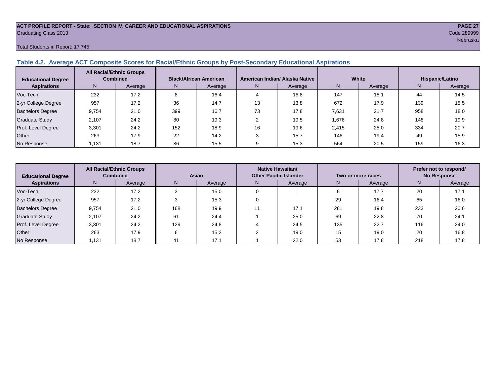#### **ACT PROFILE REPORT - State: SECTION IV, CAREER AND EDUCATIONAL ASPIRATIONS PAGE 27** Graduating Class 2013 Code 289999

#### Total Students in Report: 17,745

#### **Table 4.2. Average ACT Composite Scores for Racial/Ethnic Groups by Post-Secondary Educational Aspirations**

| <b>Educational Degree</b> | <b>All Racial/Ethnic Groups</b><br><b>Combined</b> |         | <b>Black/African American</b> |         |    | American Indian/ Alaska Native |       | White   | Hispanic/Latino |         |  |
|---------------------------|----------------------------------------------------|---------|-------------------------------|---------|----|--------------------------------|-------|---------|-----------------|---------|--|
| <b>Aspirations</b>        | N.                                                 | Average | N                             | Average | N  | Average                        | N     | Average | N               | Average |  |
| Voc-Tech                  | 232                                                | 17.2    |                               | 16.4    |    | 16.8                           | 147   | 18.1    | 44              | 14.5    |  |
| 2-yr College Degree       | 957                                                | 17.2    | 36                            | 14.7    | 13 | 13.8                           | 672   | 17.9    | 139             | 15.5    |  |
| <b>Bachelors Degree</b>   | 9,754                                              | 21.0    | 399                           | 16.7    | 73 | 17.8                           | 7,631 | 21.7    | 958             | 18.0    |  |
| <b>Graduate Study</b>     | 2.107                                              | 24.2    | 80                            | 19.3    |    | 19.5                           | 1,676 | 24.8    | 148             | 19.9    |  |
| Prof. Level Degree        | 3,301                                              | 24.2    | 152                           | 18.9    | 16 | 19.6                           | 2,415 | 25.0    | 334             | 20.7    |  |
| Other                     | 263                                                | 17.9    | 22                            | 14.2    |    | 15.7                           | 146   | 19.4    | 49              | 15.9    |  |
| No Response               | 1,131                                              | 18.7    | 86                            | 15.5    |    | 15.3                           | 564   | 20.5    | 159             | 16.3    |  |

| <b>Educational Degree</b> | <b>All Racial/Ethnic Groups</b><br><b>Combined</b> |         | Asian |         |               | <b>Native Hawaiian/</b><br><b>Other Pacific Islander</b> |     | Two or more races | Prefer not to respond/<br><b>No Response</b> |         |  |
|---------------------------|----------------------------------------------------|---------|-------|---------|---------------|----------------------------------------------------------|-----|-------------------|----------------------------------------------|---------|--|
| <b>Aspirations</b>        | N <sub>1</sub>                                     | Average | N     | Average | Average<br>N. |                                                          | Ν   | Average           | N                                            | Average |  |
| Voc-Tech                  | 232                                                | 17.2    |       | 15.0    |               |                                                          |     | 17.7              | 20                                           | 17.1    |  |
| 2-yr College Degree       | 957                                                | 17.2    |       | 15.3    |               |                                                          | 29  | 16.4              | 65                                           | 16.0    |  |
| <b>Bachelors Degree</b>   | 9,754                                              | 21.0    | 168   | 19.9    |               | 17.1                                                     | 281 | 19.8              | 233                                          | 20.6    |  |
| <b>Graduate Study</b>     | 2,107                                              | 24.2    | 61    | 24.4    |               | 25.0                                                     | 69  | 22.8              | 70                                           | 24.1    |  |
| Prof. Level Degree        | 3,301                                              | 24.2    | 129   | 24.8    |               | 24.5                                                     | 135 | 22.7              | 116                                          | 24.0    |  |
| Other                     | 263                                                | 17.9    |       | 15.2    |               | 19.0                                                     | 15  | 19.0              | 20                                           | 16.8    |  |
| No Response               | 1,131                                              | 18.7    | -41   | 17.1    |               | 22.0                                                     | 53  | 17.8              | 218                                          | 17.8    |  |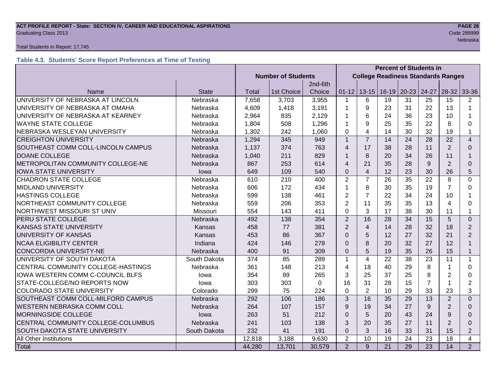# **ACT PROFILE REPORT - State: SECTION IV, CAREER AND EDUCATIONAL ASPIRATIONS PAGE 28** Graduating Class 2013 Code 289999

#### Total Students in Report: 17,745

# **Table 4.3. Students' Score Report Preferences at Time of Testing**

|                                                |              |                           |            |          | <b>Percent of Students in</b> |                                           |                         |                 |                 |                |                |
|------------------------------------------------|--------------|---------------------------|------------|----------|-------------------------------|-------------------------------------------|-------------------------|-----------------|-----------------|----------------|----------------|
|                                                |              | <b>Number of Students</b> |            |          |                               | <b>College Readiness Standards Ranges</b> |                         |                 |                 |                |                |
|                                                |              |                           |            | 2nd-6th  |                               |                                           |                         |                 |                 |                |                |
| Name                                           | <b>State</b> | <b>Total</b>              | 1st Choice | Choice   |                               |                                           | $01-12$   13-15   16-19 | $20 - 23$ 24-27 |                 | 28-32          | 33-36          |
| UNIVERSITY OF NEBRASKA AT LINCOLN              | Nebraska     | 7,658                     | 3,703      | 3,955    | $\mathbf 1$                   | 6                                         | 19                      | 31              | 25              | 15             | 2              |
| UNIVERSITY OF NEBRASKA AT OMAHA                | Nebraska     | 4,609                     | 1,418      | 3,191    | $\mathbf 1$                   | 9                                         | 23                      | 31              | 22              | 13             | 1              |
| UNIVERSITY OF NEBRASKA AT KEARNEY              | Nebraska     | 2,964                     | 835        | 2,129    | 1                             | 6                                         | 24                      | 36              | 23              | 10             |                |
| <b>WAYNE STATE COLLEGE</b>                     | Nebraska     | 1,804                     | 508        | 1,296    | $\mathbf 1$                   | 9                                         | 25                      | 35              | 22              | 8              | $\Omega$       |
| NEBRASKA WESLEYAN UNIVERSITY                   | Nebraska     | 1,302                     | 242        | 1,060    | $\Omega$                      | $\overline{4}$                            | 14                      | 30              | 32              | 19             | 1              |
| <b>CREIGHTON UNIVERSITY</b>                    | Nebraska     | 1,294                     | 345        | 949      | $\mathbf{1}$                  | $\overline{7}$                            | 14                      | 24              | 28              | 22             | $\overline{4}$ |
| SOUTHEAST COMM COLL-LINCOLN CAMPUS             | Nebraska     | 1,137                     | 374        | 763      | $\overline{4}$                | 17                                        | 38                      | 28              | 11              | 2              | $\Omega$       |
| <b>DOANE COLLEGE</b>                           | Nebraska     | 1,040                     | 211        | 829      | $\mathbf{1}$                  | 8                                         | 20                      | 34              | 26              | 11             |                |
| METROPOLITAN COMMUNITY COLLEGE-NE              | Nebraska     | 867                       | 253        | 614      | $\overline{4}$                | 21                                        | 35                      | 28              | 9               | 2              | $\Omega$       |
| <b>IOWA STATE UNIVERSITY</b>                   | lowa         | 649                       | 109        | 540      | $\mathbf{0}$                  | $\overline{4}$                            | 12                      | 23              | 30              | 26             | 5              |
| <b>CHADRON STATE COLLEGE</b>                   | Nebraska     | 610                       | 210        | 400      | $\overline{2}$                | $\overline{7}$                            | 26                      | 35              | 22              | 8              | $\Omega$       |
| <b>MIDLAND UNIVERSITY</b>                      | Nebraska     | 606                       | 172        | 434      | $\mathbf{1}$                  | 8                                         | 30                      | 35              | 19              | $\overline{7}$ | $\Omega$       |
| <b>HASTINGS COLLEGE</b>                        | Nebraska     | 599                       | 138        | 461      | $\overline{2}$                | $\overline{7}$                            | 22                      | 34              | 24              | 10             |                |
| NORTHEAST COMMUNITY COLLEGE                    | Nebraska     | 559                       | 206        | 353      | $\overline{2}$                | 11                                        | 35                      | 35              | 13              | 4              | $\Omega$       |
| NORTHWEST MISSOURI ST UNIV                     | Missouri     | 554                       | 143        | 411      | $\Omega$                      | 3                                         | 17                      | 38              | 30              | 11             | 1              |
| PERU STATE COLLEGE                             | Nebraska     | 492                       | 138        | 354      | $\overline{2}$                | 16                                        | 28                      | 34              | 15              | 5              | $\overline{0}$ |
| KANSAS STATE UNIVERSITY                        | Kansas       | 458                       | 77         | 381      | $\overline{2}$                | $\overline{4}$                            | 14                      | 28              | 32              | 18             | 2              |
| UNIVERSITY OF KANSAS                           | Kansas       | 453                       | 86         | 367      | $\Omega$                      | 5                                         | 12                      | 27              | 32              | 21             | $\overline{2}$ |
| <b>NCAA ELIGIBILITY CENTER</b>                 | Indiana      | 424                       | 146        | 278      | $\Omega$                      | 8                                         | 20                      | 32              | 27              | 12             | $\mathbf{1}$   |
| CONCORDIA UNIVERSITY-NE                        | Nebraska     | 400                       | 91         | 309      | $\mathbf{0}$                  | 5                                         | 19                      | 35              | 26              | 15             | 1              |
| UNIVERSITY OF SOUTH DAKOTA                     | South Dakota | 374                       | 85         | 289      | $\mathbf{1}$                  | 4                                         | 22                      | 38              | 23              | 11             | $\mathbf{1}$   |
| CENTRAL COMMUNITY COLLEGE-HASTINGS             | Nebraska     | 361                       | 148        | 213      | $\overline{4}$                | 18                                        | 40                      | 29              | 8               |                | $\Omega$       |
| <b>IOWA WESTERN COMM C-COUNCIL BLFS</b>        | lowa         | 354                       | 89         | 265      | 3                             | 25                                        | 37                      | 25              | 8               | $\overline{2}$ | $\Omega$       |
| STATE-COLLEGE/NO REPORTS NOW                   | lowa         | 303                       | 303        | $\Omega$ | 16                            | 31                                        | 28                      | 15              | $\overline{7}$  | 1              | $\overline{2}$ |
| <b>COLORADO STATE UNIVERSITY</b>               | Colorado     | 299                       | 75         | 224      | $\mathbf 0$                   | $\overline{2}$                            | 10                      | 29              | 33              | 23             | 3              |
| SOUTHEAST COMM COLL-MILFORD CAMPUS             | Nebraska     | 292                       | 106        | 186      | 3                             | 16                                        | 35                      | 29              | 13              | 2              | $\Omega$       |
| <b>WESTERN NEBRASKA COMM COLL</b><br>Nebraska  |              | 264                       | 107        | 157      | 9                             | 19                                        | 34                      | 27              | 9               | $\overline{2}$ | $\Omega$       |
| MORNINGSIDE COLLEGE<br>lowa                    |              | 263                       | 51         | 212      | $\mathbf 0$                   | 5                                         | 20                      | 43              | 24              | 9              | $\Omega$       |
| CENTRAL COMMUNITY COLLEGE-COLUMBUS<br>Nebraska |              | 241                       | 103        | 138      | 3                             | 20                                        | 35                      | 27              | 11              | $\overline{2}$ | $\Omega$       |
| SOUTH DAKOTA STATE UNIVERSITY                  | South Dakota | 232                       | 41         | 191      | $\mathbf 0$                   | 3                                         | 16                      | 33              | 31              | 15             | $\overline{2}$ |
| All Other Institutions                         |              | 12,818                    | 3,188      | 9,630    | $\overline{2}$                | 10                                        | 19                      | 24              | 23              | 18             | 4              |
| Total                                          |              | 44,280                    | 13,701     | 30,579   | 2                             | 9                                         | $\overline{21}$         | 29              | $\overline{23}$ | 14             | $\overline{2}$ |

nebraska ing pangalang pangalang pangalang pangalang pangalang pangalang pangalang pangalang pangalang pangala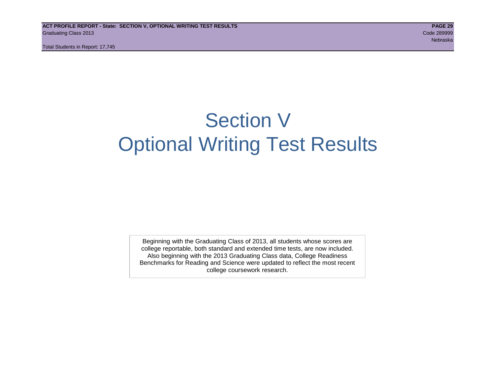# Section V Optional Writing Test Results

Beginning with the Graduating Class of 2013, all students whose scores are college reportable, both standard and extended time tests, are now included. Also beginning with the 2013 Graduating Class data, College Readiness Benchmarks for Reading and Science were updated to reflect the most recent college coursework research.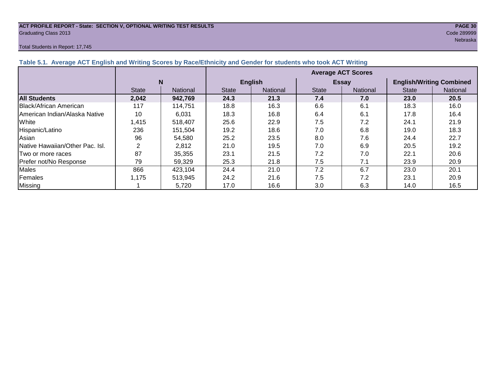#### **ACT PROFILE REPORT - State: SECTION V, OPTIONAL WRITING TEST RESULTS PAGE 30** Graduating Class 2013 Code 289999

#### Total Students in Report: 17,745

n de braska en de braska en de braska en de braska en de braska en de braska en de braska en de braska en de

| Table 5.1. Average ACT English and Writing Scores by Race/Ethnicity and Gender for students who took ACT Writing |              |                 |                           |                 |              |                 |                                 |                 |  |  |
|------------------------------------------------------------------------------------------------------------------|--------------|-----------------|---------------------------|-----------------|--------------|-----------------|---------------------------------|-----------------|--|--|
|                                                                                                                  |              |                 | <b>Average ACT Scores</b> |                 |              |                 |                                 |                 |  |  |
|                                                                                                                  |              | N               |                           | <b>English</b>  |              | <b>Essay</b>    | <b>English/Writing Combined</b> |                 |  |  |
|                                                                                                                  | <b>State</b> | <b>National</b> | <b>State</b>              | <b>National</b> | <b>State</b> | <b>National</b> | <b>State</b>                    | <b>National</b> |  |  |
| <b>All Students</b>                                                                                              | 2,042        | 942,769         | 24.3                      | 21.3            | 7.4          | 7.0             | 23.0                            | 20.5            |  |  |
| Black/African American                                                                                           | 117          | 114.751         | 18.8                      | 16.3            | 6.6          | 6.1             | 18.3                            | 16.0            |  |  |
| <b>IAmerican Indian/Alaska Native</b>                                                                            | 10           | 6,031           | 18.3                      | 16.8            | 6.4          | 6.1             | 17.8                            | 16.4            |  |  |
| White                                                                                                            | 1,415        | 518.407         | 25.6                      | 22.9            | 7.5          | 7.2             | 24.1                            | 21.9            |  |  |
| Hispanic/Latino                                                                                                  | 236          | 151,504         | 19.2                      | 18.6            | 7.0          | 6.8             | 19.0                            | 18.3            |  |  |
| Asian                                                                                                            | 96           | 54,580          | 25.2                      | 23.5            | 8.0          | 7.6             | 24.4                            | 22.7            |  |  |
| Native Hawaiian/Other Pac. Isl.                                                                                  |              | 2,812           | 21.0                      | 19.5            | 7.0          | 6.9             | 20.5                            | 19.2            |  |  |
| Two or more races                                                                                                | 87           | 35,355          | 23.1                      | 21.5            | 7.2          | 7.0             | 22.1                            | 20.6            |  |  |
| Prefer not/No Response                                                                                           | 79           | 59.329          | 25.3                      | 21.8            | 7.5          | 7.1             | 23.9                            | 20.9            |  |  |
| Males                                                                                                            | 866          | 423,104         | 24.4                      | 21.0            | 7.2          | 6.7             | 23.0                            | 20.1            |  |  |
| Females                                                                                                          | 1,175        | 513,945         | 24.2                      | 21.6            | 7.5          | 7.2             | 23.1                            | 20.9            |  |  |
| <b>Missing</b>                                                                                                   |              | 5,720           | 17.0                      | 16.6            | 3.0          | 6.3             | 14.0                            | 16.5            |  |  |